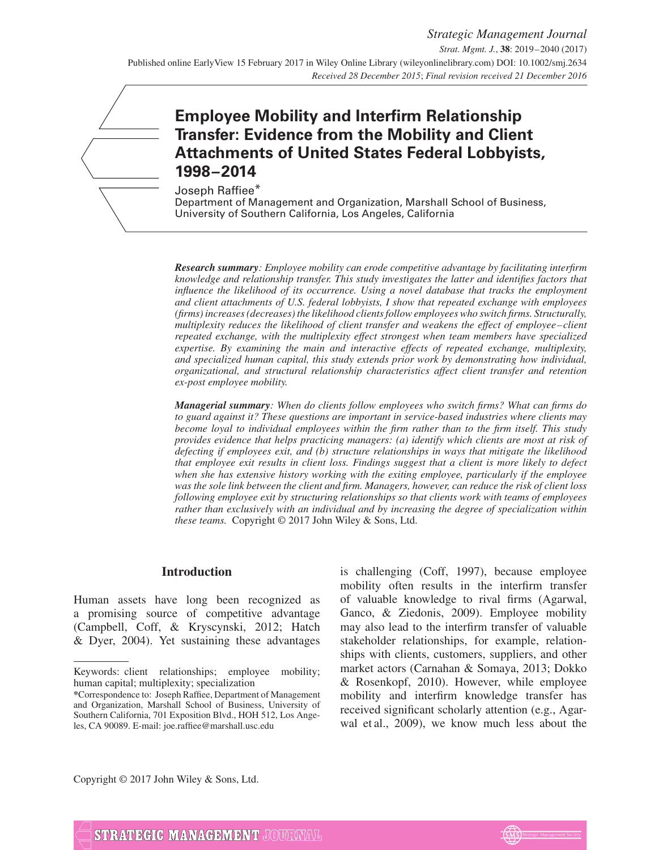# **Employee Mobility and Interfirm Relationship Transfer: Evidence from the Mobility and Client Attachments of United States Federal Lobbyists, 1998–2014**

Joseph Raffiee\* Department of Management and Organization, Marshall School of Business, University of Southern California, Los Angeles, California

*Research summary: Employee mobility can erode competitive advantage by facilitating interfirm knowledge and relationship transfer. This study investigates the latter and identifies factors that influence the likelihood of its occurrence. Using a novel database that tracks the employment and client attachments of U.S. federal lobbyists, I show that repeated exchange with employees (firms) increases (decreases) the likelihood clients follow employees who switch firms. Structurally, multiplexity reduces the likelihood of client transfer and weakens the effect of employee–client repeated exchange, with the multiplexity effect strongest when team members have specialized expertise. By examining the main and interactive effects of repeated exchange, multiplexity, and specialized human capital, this study extends prior work by demonstrating how individual, organizational, and structural relationship characteristics affect client transfer and retention ex-post employee mobility.*

*Managerial summary: When do clients follow employees who switch firms? What can firms do to guard against it? These questions are important in service-based industries where clients may become loyal to individual employees within the firm rather than to the firm itself. This study provides evidence that helps practicing managers: (a) identify which clients are most at risk of defecting if employees exit, and (b) structure relationships in ways that mitigate the likelihood that employee exit results in client loss. Findings suggest that a client is more likely to defect when she has extensive history working with the exiting employee, particularly if the employee was the sole link between the client and firm. Managers, however, can reduce the risk of client loss following employee exit by structuring relationships so that clients work with teams of employees rather than exclusively with an individual and by increasing the degree of specialization within these teams.* Copyright © 2017 John Wiley & Sons, Ltd.

## **Introduction**

Human assets have long been recognized as a promising source of competitive advantage (Campbell, Coff, & Kryscynski, 2012; Hatch & Dyer, 2004). Yet sustaining these advantages is challenging (Coff, 1997), because employee mobility often results in the interfirm transfer of valuable knowledge to rival firms (Agarwal, Ganco, & Ziedonis, 2009). Employee mobility may also lead to the interfirm transfer of valuable stakeholder relationships, for example, relationships with clients, customers, suppliers, and other market actors (Carnahan & Somaya, 2013; Dokko & Rosenkopf, 2010). However, while employee mobility and interfirm knowledge transfer has received significant scholarly attention (e.g., Agarwal et al., 2009), we know much less about the

Copyright © 2017 John Wiley & Sons, Ltd.



Keywords: client relationships; employee mobility; human capital; multiplexity; specialization

**<sup>\*</sup>**Correspondence to: Joseph Raffiee, Department of Management and Organization, Marshall School of Business, University of Southern California, 701 Exposition Blvd., HOH 512, Los Angeles, CA 90089. E-mail: joe.raffiee@marshall.usc.edu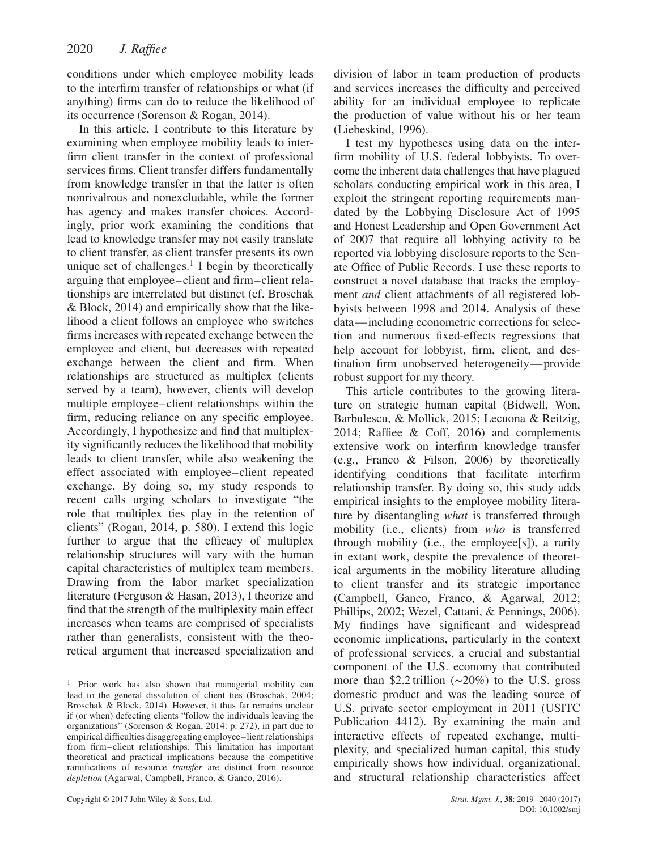conditions under which employee mobility leads to the interfirm transfer of relationships or what (if anything) firms can do to reduce the likelihood of its occurrence (Sorenson & Rogan, 2014).

In this article, I contribute to this literature by examining when employee mobility leads to interfirm client transfer in the context of professional services firms. Client transfer differs fundamentally from knowledge transfer in that the latter is often nonrivalrous and nonexcludable, while the former has agency and makes transfer choices. Accordingly, prior work examining the conditions that lead to knowledge transfer may not easily translate to client transfer, as client transfer presents its own unique set of challenges. $\frac{1}{1}$  $\frac{1}{1}$  $\frac{1}{1}$  I begin by theoretically arguing that employee–client and firm–client relationships are interrelated but distinct (cf. Broschak & Block, 2014) and empirically show that the likelihood a client follows an employee who switches firms increases with repeated exchange between the employee and client, but decreases with repeated exchange between the client and firm. When relationships are structured as multiplex (clients served by a team), however, clients will develop multiple employee–client relationships within the firm, reducing reliance on any specific employee. Accordingly, I hypothesize and find that multiplexity significantly reduces the likelihood that mobility leads to client transfer, while also weakening the effect associated with employee–client repeated exchange. By doing so, my study responds to recent calls urging scholars to investigate "the role that multiplex ties play in the retention of clients" (Rogan, 2014, p. 580). I extend this logic further to argue that the efficacy of multiplex relationship structures will vary with the human capital characteristics of multiplex team members. Drawing from the labor market specialization literature (Ferguson & Hasan, 2013), I theorize and find that the strength of the multiplexity main effect increases when teams are comprised of specialists rather than generalists, consistent with the theoretical argument that increased specialization and division of labor in team production of products and services increases the difficulty and perceived ability for an individual employee to replicate the production of value without his or her team (Liebeskind, 1996).

I test my hypotheses using data on the interfirm mobility of U.S. federal lobbyists. To overcome the inherent data challenges that have plagued scholars conducting empirical work in this area, I exploit the stringent reporting requirements mandated by the Lobbying Disclosure Act of 1995 and Honest Leadership and Open Government Act of 2007 that require all lobbying activity to be reported via lobbying disclosure reports to the Senate Office of Public Records. I use these reports to construct a novel database that tracks the employment *and* client attachments of all registered lobbyists between 1998 and 2014. Analysis of these data—including econometric corrections for selection and numerous fixed-effects regressions that help account for lobbyist, firm, client, and destination firm unobserved heterogeneity—provide robust support for my theory.

This article contributes to the growing literature on strategic human capital (Bidwell, Won, Barbulescu, & Mollick, 2015; Lecuona & Reitzig, 2014; Raffiee & Coff, 2016) and complements extensive work on interfirm knowledge transfer (e.g., Franco & Filson, 2006) by theoretically identifying conditions that facilitate interfirm relationship transfer. By doing so, this study adds empirical insights to the employee mobility literature by disentangling *what* is transferred through mobility (i.e., clients) from *who* is transferred through mobility (i.e., the employee[s]), a rarity in extant work, despite the prevalence of theoretical arguments in the mobility literature alluding to client transfer and its strategic importance (Campbell, Ganco, Franco, & Agarwal, 2012; Phillips, 2002; Wezel, Cattani, & Pennings, 2006). My findings have significant and widespread economic implications, particularly in the context of professional services, a crucial and substantial component of the U.S. economy that contributed more than \$2.2 trillion (∼20%) to the U.S. gross domestic product and was the leading source of U.S. private sector employment in 2011 (USITC Publication 4412). By examining the main and interactive effects of repeated exchange, multiplexity, and specialized human capital, this study empirically shows how individual, organizational, and structural relationship characteristics affect

<span id="page-1-0"></span><sup>&</sup>lt;sup>1</sup> Prior work has also shown that managerial mobility can lead to the general dissolution of client ties (Broschak, 2004; Broschak & Block, 2014). However, it thus far remains unclear if (or when) defecting clients "follow the individuals leaving the organizations" (Sorenson & Rogan, 2014: p. 272), in part due to empirical difficulties disaggregating employee–lient relationships from firm–client relationships. This limitation has important theoretical and practical implications because the competitive ramifications of resource *transfer* are distinct from resource *depletion* (Agarwal, Campbell, Franco, & Ganco, 2016).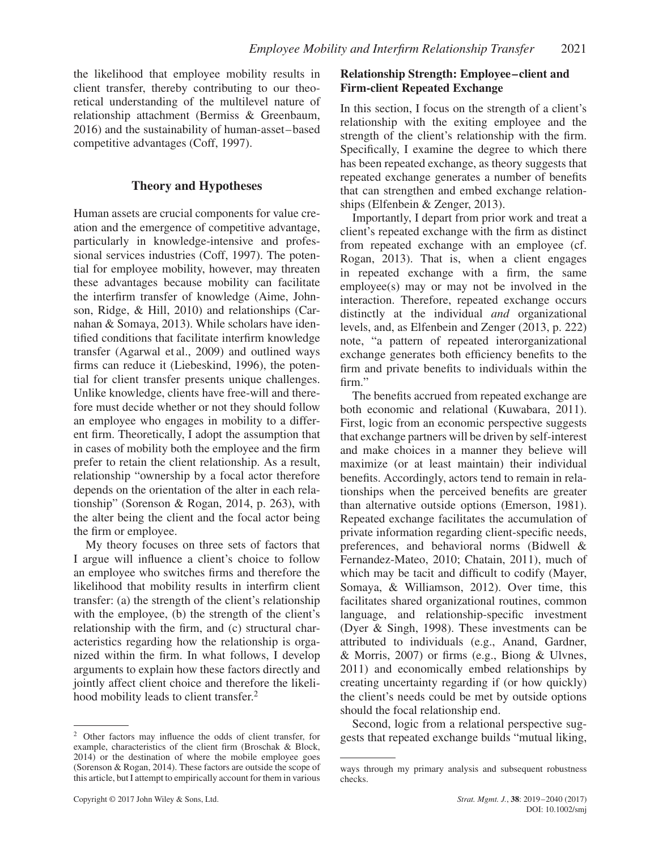the likelihood that employee mobility results in client transfer, thereby contributing to our theoretical understanding of the multilevel nature of relationship attachment (Bermiss & Greenbaum, 2016) and the sustainability of human-asset–based competitive advantages (Coff, 1997).

# **Theory and Hypotheses**

Human assets are crucial components for value creation and the emergence of competitive advantage, particularly in knowledge-intensive and professional services industries (Coff, 1997). The potential for employee mobility, however, may threaten these advantages because mobility can facilitate the interfirm transfer of knowledge (Aime, Johnson, Ridge, & Hill, 2010) and relationships (Carnahan & Somaya, 2013). While scholars have identified conditions that facilitate interfirm knowledge transfer (Agarwal et al., 2009) and outlined ways firms can reduce it (Liebeskind, 1996), the potential for client transfer presents unique challenges. Unlike knowledge, clients have free-will and therefore must decide whether or not they should follow an employee who engages in mobility to a different firm. Theoretically, I adopt the assumption that in cases of mobility both the employee and the firm prefer to retain the client relationship. As a result, relationship "ownership by a focal actor therefore depends on the orientation of the alter in each relationship" (Sorenson & Rogan, 2014, p. 263), with the alter being the client and the focal actor being the firm or employee.

My theory focuses on three sets of factors that I argue will influence a client's choice to follow an employee who switches firms and therefore the likelihood that mobility results in interfirm client transfer: (a) the strength of the client's relationship with the employee, (b) the strength of the client's relationship with the firm, and (c) structural characteristics regarding how the relationship is organized within the firm. In what follows, I develop arguments to explain how these factors directly and jointly affect client choice and therefore the likeli-hood mobility leads to client transfer.<sup>[2](#page-2-0)</sup>

# **Relationship Strength: Employee–client and Firm-client Repeated Exchange**

In this section, I focus on the strength of a client's relationship with the exiting employee and the strength of the client's relationship with the firm. Specifically, I examine the degree to which there has been repeated exchange, as theory suggests that repeated exchange generates a number of benefits that can strengthen and embed exchange relationships (Elfenbein & Zenger, 2013).

Importantly, I depart from prior work and treat a client's repeated exchange with the firm as distinct from repeated exchange with an employee (cf. Rogan, 2013). That is, when a client engages in repeated exchange with a firm, the same employee(s) may or may not be involved in the interaction. Therefore, repeated exchange occurs distinctly at the individual *and* organizational levels, and, as Elfenbein and Zenger (2013, p. 222) note, "a pattern of repeated interorganizational exchange generates both efficiency benefits to the firm and private benefits to individuals within the firm."

The benefits accrued from repeated exchange are both economic and relational (Kuwabara, 2011). First, logic from an economic perspective suggests that exchange partners will be driven by self-interest and make choices in a manner they believe will maximize (or at least maintain) their individual benefits. Accordingly, actors tend to remain in relationships when the perceived benefits are greater than alternative outside options (Emerson, 1981). Repeated exchange facilitates the accumulation of private information regarding client-specific needs, preferences, and behavioral norms (Bidwell & Fernandez-Mateo, 2010; Chatain, 2011), much of which may be tacit and difficult to codify (Mayer, Somaya, & Williamson, 2012). Over time, this facilitates shared organizational routines, common language, and relationship-specific investment (Dyer & Singh, 1998). These investments can be attributed to individuals (e.g., Anand, Gardner, & Morris, 2007) or firms (e.g., Biong & Ulvnes, 2011) and economically embed relationships by creating uncertainty regarding if (or how quickly) the client's needs could be met by outside options should the focal relationship end.

Second, logic from a relational perspective suggests that repeated exchange builds "mutual liking,

<span id="page-2-0"></span><sup>2</sup> Other factors may influence the odds of client transfer, for example, characteristics of the client firm (Broschak & Block, 2014) or the destination of where the mobile employee goes (Sorenson & Rogan, 2014). These factors are outside the scope of this article, but I attempt to empirically account for them in various

ways through my primary analysis and subsequent robustness checks.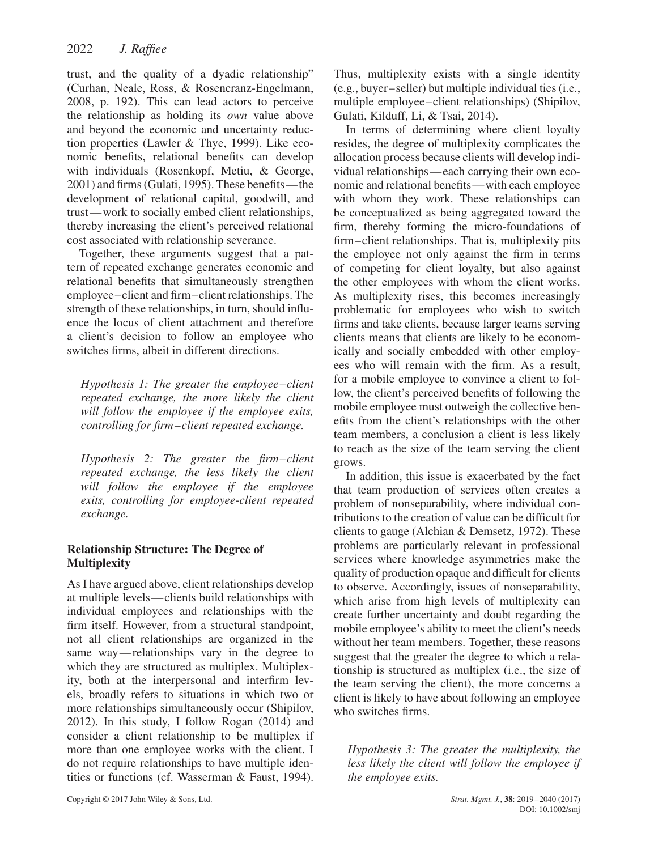trust, and the quality of a dyadic relationship" (Curhan, Neale, Ross, & Rosencranz-Engelmann, 2008, p. 192). This can lead actors to perceive the relationship as holding its *own* value above and beyond the economic and uncertainty reduction properties (Lawler & Thye, 1999). Like economic benefits, relational benefits can develop with individuals (Rosenkopf, Metiu, & George, 2001) and firms (Gulati, 1995). These benefits—the development of relational capital, goodwill, and trust—work to socially embed client relationships, thereby increasing the client's perceived relational cost associated with relationship severance.

Together, these arguments suggest that a pattern of repeated exchange generates economic and relational benefits that simultaneously strengthen employee–client and firm–client relationships. The strength of these relationships, in turn, should influence the locus of client attachment and therefore a client's decision to follow an employee who switches firms, albeit in different directions.

*Hypothesis 1: The greater the employee–client repeated exchange, the more likely the client will follow the employee if the employee exits, controlling for firm–client repeated exchange.*

*Hypothesis 2: The greater the firm–client repeated exchange, the less likely the client will follow the employee if the employee exits, controlling for employee-client repeated exchange.*

# **Relationship Structure: The Degree of Multiplexity**

As I have argued above, client relationships develop at multiple levels—clients build relationships with individual employees and relationships with the firm itself. However, from a structural standpoint, not all client relationships are organized in the same way—relationships vary in the degree to which they are structured as multiplex. Multiplexity, both at the interpersonal and interfirm levels, broadly refers to situations in which two or more relationships simultaneously occur (Shipilov, 2012). In this study, I follow Rogan (2014) and consider a client relationship to be multiplex if more than one employee works with the client. I do not require relationships to have multiple identities or functions (cf. Wasserman & Faust, 1994). Thus, multiplexity exists with a single identity (e.g., buyer–seller) but multiple individual ties (i.e., multiple employee–client relationships) (Shipilov, Gulati, Kilduff, Li, & Tsai, 2014).

In terms of determining where client loyalty resides, the degree of multiplexity complicates the allocation process because clients will develop individual relationships—each carrying their own economic and relational benefits—with each employee with whom they work. These relationships can be conceptualized as being aggregated toward the firm, thereby forming the micro-foundations of firm–client relationships. That is, multiplexity pits the employee not only against the firm in terms of competing for client loyalty, but also against the other employees with whom the client works. As multiplexity rises, this becomes increasingly problematic for employees who wish to switch firms and take clients, because larger teams serving clients means that clients are likely to be economically and socially embedded with other employees who will remain with the firm. As a result, for a mobile employee to convince a client to follow, the client's perceived benefits of following the mobile employee must outweigh the collective benefits from the client's relationships with the other team members, a conclusion a client is less likely to reach as the size of the team serving the client grows.

In addition, this issue is exacerbated by the fact that team production of services often creates a problem of nonseparability, where individual contributions to the creation of value can be difficult for clients to gauge (Alchian & Demsetz, 1972). These problems are particularly relevant in professional services where knowledge asymmetries make the quality of production opaque and difficult for clients to observe. Accordingly, issues of nonseparability, which arise from high levels of multiplexity can create further uncertainty and doubt regarding the mobile employee's ability to meet the client's needs without her team members. Together, these reasons suggest that the greater the degree to which a relationship is structured as multiplex (i.e., the size of the team serving the client), the more concerns a client is likely to have about following an employee who switches firms.

*Hypothesis 3: The greater the multiplexity, the less likely the client will follow the employee if the employee exits.*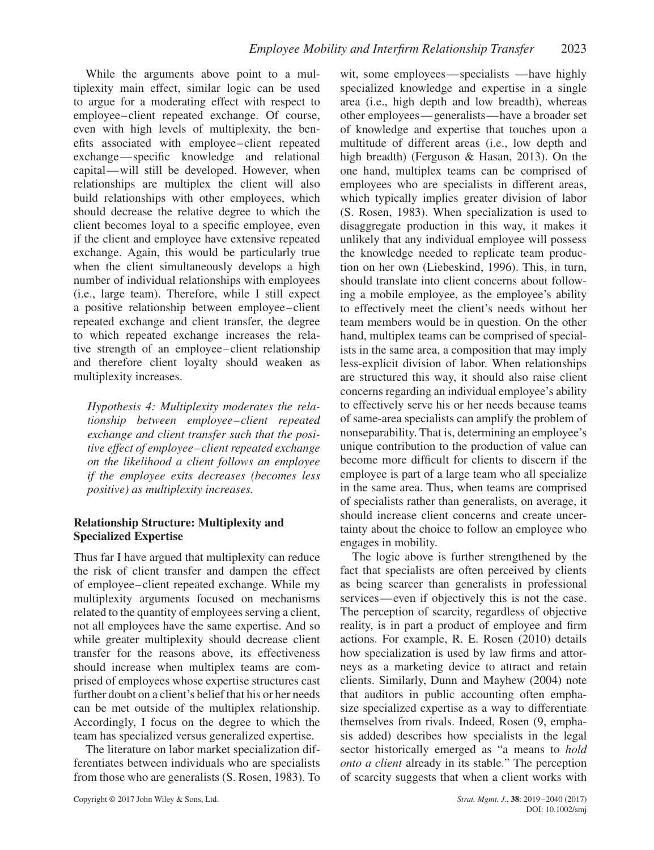While the arguments above point to a multiplexity main effect, similar logic can be used to argue for a moderating effect with respect to employee–client repeated exchange. Of course, even with high levels of multiplexity, the benefits associated with employee–client repeated exchange—specific knowledge and relational capital—will still be developed. However, when relationships are multiplex the client will also build relationships with other employees, which should decrease the relative degree to which the client becomes loyal to a specific employee, even if the client and employee have extensive repeated exchange. Again, this would be particularly true when the client simultaneously develops a high number of individual relationships with employees (i.e., large team). Therefore, while I still expect a positive relationship between employee–client repeated exchange and client transfer, the degree to which repeated exchange increases the relative strength of an employee–client relationship and therefore client loyalty should weaken as multiplexity increases.

*Hypothesis 4: Multiplexity moderates the relationship between employee–client repeated exchange and client transfer such that the positive effect of employee–client repeated exchange on the likelihood a client follows an employee if the employee exits decreases (becomes less positive) as multiplexity increases.*

# **Relationship Structure: Multiplexity and Specialized Expertise**

Thus far I have argued that multiplexity can reduce the risk of client transfer and dampen the effect of employee–client repeated exchange. While my multiplexity arguments focused on mechanisms related to the quantity of employees serving a client, not all employees have the same expertise. And so while greater multiplexity should decrease client transfer for the reasons above, its effectiveness should increase when multiplex teams are comprised of employees whose expertise structures cast further doubt on a client's belief that his or her needs can be met outside of the multiplex relationship. Accordingly, I focus on the degree to which the team has specialized versus generalized expertise.

The literature on labor market specialization differentiates between individuals who are specialists from those who are generalists (S. Rosen, 1983). To wit, some employees—specialists —have highly specialized knowledge and expertise in a single area (i.e., high depth and low breadth), whereas other employees—generalists—have a broader set of knowledge and expertise that touches upon a multitude of different areas (i.e., low depth and high breadth) (Ferguson & Hasan, 2013). On the one hand, multiplex teams can be comprised of employees who are specialists in different areas, which typically implies greater division of labor (S. Rosen, 1983). When specialization is used to disaggregate production in this way, it makes it unlikely that any individual employee will possess the knowledge needed to replicate team production on her own (Liebeskind, 1996). This, in turn, should translate into client concerns about following a mobile employee, as the employee's ability to effectively meet the client's needs without her team members would be in question. On the other hand, multiplex teams can be comprised of specialists in the same area, a composition that may imply less-explicit division of labor. When relationships are structured this way, it should also raise client concerns regarding an individual employee's ability to effectively serve his or her needs because teams of same-area specialists can amplify the problem of nonseparability. That is, determining an employee's unique contribution to the production of value can become more difficult for clients to discern if the employee is part of a large team who all specialize in the same area. Thus, when teams are comprised of specialists rather than generalists, on average, it should increase client concerns and create uncertainty about the choice to follow an employee who engages in mobility.

The logic above is further strengthened by the fact that specialists are often perceived by clients as being scarcer than generalists in professional services—even if objectively this is not the case. The perception of scarcity, regardless of objective reality, is in part a product of employee and firm actions. For example, R. E. Rosen (2010) details how specialization is used by law firms and attorneys as a marketing device to attract and retain clients. Similarly, Dunn and Mayhew (2004) note that auditors in public accounting often emphasize specialized expertise as a way to differentiate themselves from rivals. Indeed, Rosen (9, emphasis added) describes how specialists in the legal sector historically emerged as "a means to *hold onto a client* already in its stable." The perception of scarcity suggests that when a client works with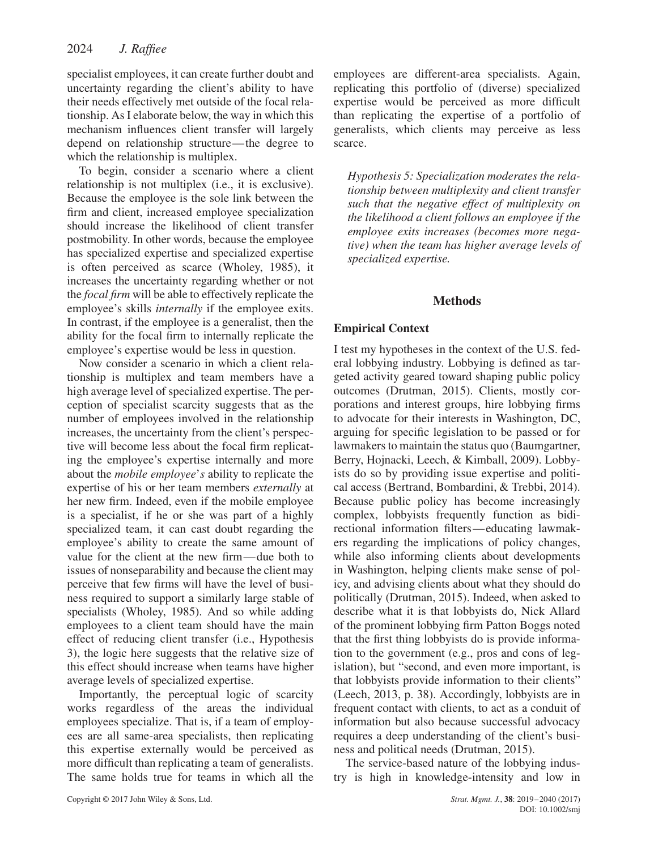specialist employees, it can create further doubt and uncertainty regarding the client's ability to have their needs effectively met outside of the focal relationship. As I elaborate below, the way in which this mechanism influences client transfer will largely depend on relationship structure—the degree to which the relationship is multiplex.

To begin, consider a scenario where a client relationship is not multiplex (i.e., it is exclusive). Because the employee is the sole link between the firm and client, increased employee specialization should increase the likelihood of client transfer postmobility. In other words, because the employee has specialized expertise and specialized expertise is often perceived as scarce (Wholey, 1985), it increases the uncertainty regarding whether or not the *focal firm* will be able to effectively replicate the employee's skills *internally* if the employee exits. In contrast, if the employee is a generalist, then the ability for the focal firm to internally replicate the employee's expertise would be less in question.

Now consider a scenario in which a client relationship is multiplex and team members have a high average level of specialized expertise. The perception of specialist scarcity suggests that as the number of employees involved in the relationship increases, the uncertainty from the client's perspective will become less about the focal firm replicating the employee's expertise internally and more about the *mobile employee*'*s* ability to replicate the expertise of his or her team members *externally* at her new firm. Indeed, even if the mobile employee is a specialist, if he or she was part of a highly specialized team, it can cast doubt regarding the employee's ability to create the same amount of value for the client at the new firm—due both to issues of nonseparability and because the client may perceive that few firms will have the level of business required to support a similarly large stable of specialists (Wholey, 1985). And so while adding employees to a client team should have the main effect of reducing client transfer (i.e., Hypothesis 3), the logic here suggests that the relative size of this effect should increase when teams have higher average levels of specialized expertise.

Importantly, the perceptual logic of scarcity works regardless of the areas the individual employees specialize. That is, if a team of employees are all same-area specialists, then replicating this expertise externally would be perceived as more difficult than replicating a team of generalists. The same holds true for teams in which all the employees are different-area specialists. Again, replicating this portfolio of (diverse) specialized expertise would be perceived as more difficult than replicating the expertise of a portfolio of generalists, which clients may perceive as less scarce.

*Hypothesis 5: Specialization moderates the relationship between multiplexity and client transfer such that the negative effect of multiplexity on the likelihood a client follows an employee if the employee exits increases (becomes more negative) when the team has higher average levels of specialized expertise.*

## **Methods**

## **Empirical Context**

I test my hypotheses in the context of the U.S. federal lobbying industry. Lobbying is defined as targeted activity geared toward shaping public policy outcomes (Drutman, 2015). Clients, mostly corporations and interest groups, hire lobbying firms to advocate for their interests in Washington, DC, arguing for specific legislation to be passed or for lawmakers to maintain the status quo (Baumgartner, Berry, Hojnacki, Leech, & Kimball, 2009). Lobbyists do so by providing issue expertise and political access (Bertrand, Bombardini, & Trebbi, 2014). Because public policy has become increasingly complex, lobbyists frequently function as bidirectional information filters—educating lawmakers regarding the implications of policy changes, while also informing clients about developments in Washington, helping clients make sense of policy, and advising clients about what they should do politically (Drutman, 2015). Indeed, when asked to describe what it is that lobbyists do, Nick Allard of the prominent lobbying firm Patton Boggs noted that the first thing lobbyists do is provide information to the government (e.g., pros and cons of legislation), but "second, and even more important, is that lobbyists provide information to their clients" (Leech, 2013, p. 38). Accordingly, lobbyists are in frequent contact with clients, to act as a conduit of information but also because successful advocacy requires a deep understanding of the client's business and political needs (Drutman, 2015).

The service-based nature of the lobbying industry is high in knowledge-intensity and low in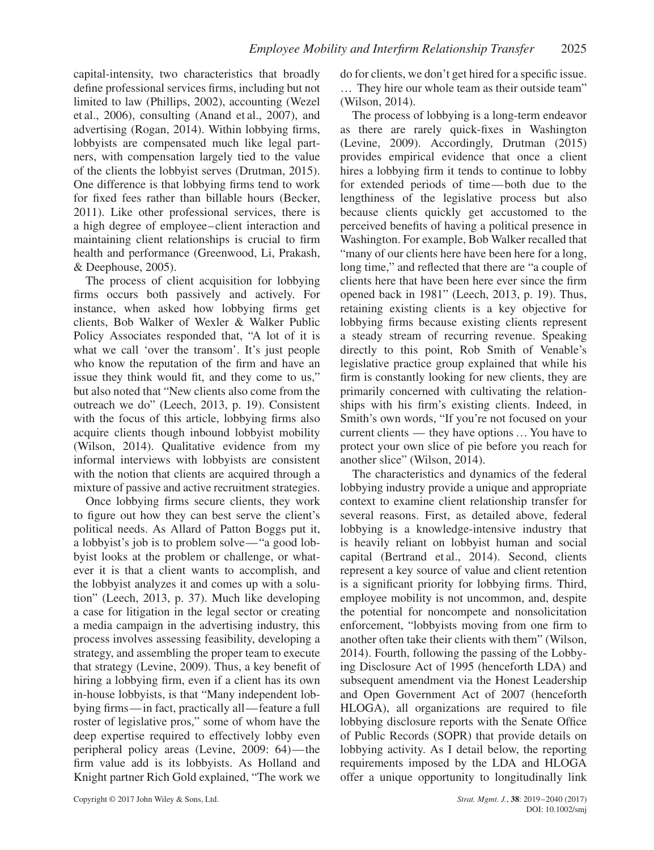capital-intensity, two characteristics that broadly define professional services firms, including but not limited to law (Phillips, 2002), accounting (Wezel et al., 2006), consulting (Anand et al., 2007), and advertising (Rogan, 2014). Within lobbying firms, lobbyists are compensated much like legal partners, with compensation largely tied to the value of the clients the lobbyist serves (Drutman, 2015). One difference is that lobbying firms tend to work for fixed fees rather than billable hours (Becker, 2011). Like other professional services, there is a high degree of employee–client interaction and maintaining client relationships is crucial to firm health and performance (Greenwood, Li, Prakash, & Deephouse, 2005).

The process of client acquisition for lobbying firms occurs both passively and actively. For instance, when asked how lobbying firms get clients, Bob Walker of Wexler & Walker Public Policy Associates responded that, "A lot of it is what we call 'over the transom'. It's just people who know the reputation of the firm and have an issue they think would fit, and they come to us," but also noted that "New clients also come from the outreach we do" (Leech, 2013, p. 19). Consistent with the focus of this article, lobbying firms also acquire clients though inbound lobbyist mobility (Wilson, 2014). Qualitative evidence from my informal interviews with lobbyists are consistent with the notion that clients are acquired through a mixture of passive and active recruitment strategies.

Once lobbying firms secure clients, they work to figure out how they can best serve the client's political needs. As Allard of Patton Boggs put it, a lobbyist's job is to problem solve—"a good lobbyist looks at the problem or challenge, or whatever it is that a client wants to accomplish, and the lobbyist analyzes it and comes up with a solution" (Leech, 2013, p. 37). Much like developing a case for litigation in the legal sector or creating a media campaign in the advertising industry, this process involves assessing feasibility, developing a strategy, and assembling the proper team to execute that strategy (Levine, 2009). Thus, a key benefit of hiring a lobbying firm, even if a client has its own in-house lobbyists, is that "Many independent lobbying firms—in fact, practically all—feature a full roster of legislative pros," some of whom have the deep expertise required to effectively lobby even peripheral policy areas (Levine, 2009: 64)—the firm value add is its lobbyists. As Holland and Knight partner Rich Gold explained, "The work we

do for clients, we don't get hired for a specific issue. … They hire our whole team as their outside team" (Wilson, 2014).

The process of lobbying is a long-term endeavor as there are rarely quick-fixes in Washington (Levine, 2009). Accordingly, Drutman (2015) provides empirical evidence that once a client hires a lobbying firm it tends to continue to lobby for extended periods of time—both due to the lengthiness of the legislative process but also because clients quickly get accustomed to the perceived benefits of having a political presence in Washington. For example, Bob Walker recalled that "many of our clients here have been here for a long, long time," and reflected that there are "a couple of clients here that have been here ever since the firm opened back in 1981" (Leech, 2013, p. 19). Thus, retaining existing clients is a key objective for lobbying firms because existing clients represent a steady stream of recurring revenue. Speaking directly to this point, Rob Smith of Venable's legislative practice group explained that while his firm is constantly looking for new clients, they are primarily concerned with cultivating the relationships with his firm's existing clients. Indeed, in Smith's own words, "If you're not focused on your current clients — they have options …You have to protect your own slice of pie before you reach for another slice" (Wilson, 2014).

The characteristics and dynamics of the federal lobbying industry provide a unique and appropriate context to examine client relationship transfer for several reasons. First, as detailed above, federal lobbying is a knowledge-intensive industry that is heavily reliant on lobbyist human and social capital (Bertrand et al., 2014). Second, clients represent a key source of value and client retention is a significant priority for lobbying firms. Third, employee mobility is not uncommon, and, despite the potential for noncompete and nonsolicitation enforcement, "lobbyists moving from one firm to another often take their clients with them" (Wilson, 2014). Fourth, following the passing of the Lobbying Disclosure Act of 1995 (henceforth LDA) and subsequent amendment via the Honest Leadership and Open Government Act of 2007 (henceforth HLOGA), all organizations are required to file lobbying disclosure reports with the Senate Office of Public Records (SOPR) that provide details on lobbying activity. As I detail below, the reporting requirements imposed by the LDA and HLOGA offer a unique opportunity to longitudinally link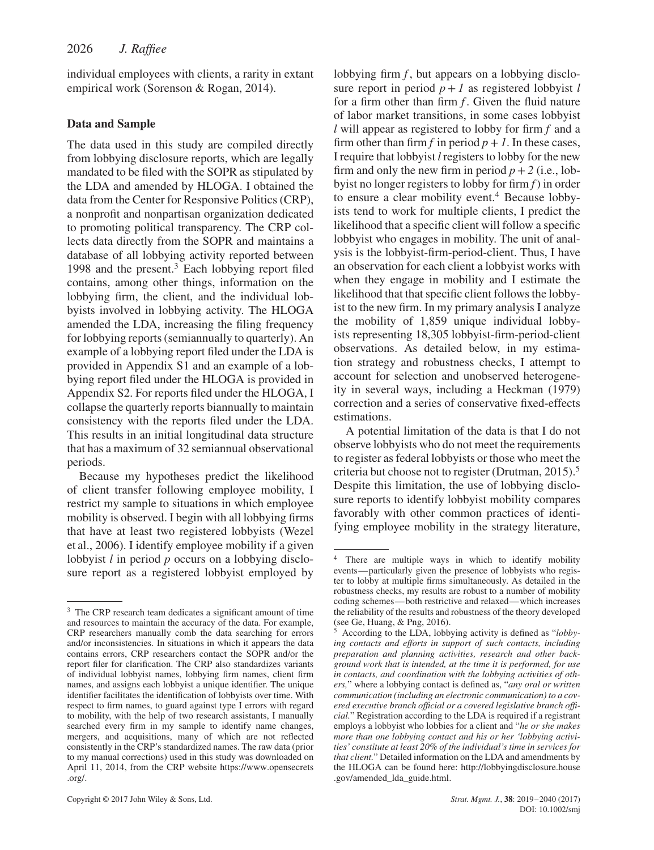individual employees with clients, a rarity in extant empirical work (Sorenson & Rogan, 2014).

# **Data and Sample**

The data used in this study are compiled directly from lobbying disclosure reports, which are legally mandated to be filed with the SOPR as stipulated by the LDA and amended by HLOGA. I obtained the data from the Center for Responsive Politics (CRP), a nonprofit and nonpartisan organization dedicated to promoting political transparency. The CRP collects data directly from the SOPR and maintains a database of all lobbying activity reported between 1998 and the present. $3$  Each lobbying report filed contains, among other things, information on the lobbying firm, the client, and the individual lobbyists involved in lobbying activity. The HLOGA amended the LDA, increasing the filing frequency for lobbying reports (semiannually to quarterly). An example of a lobbying report filed under the LDA is provided in Appendix S1 and an example of a lobbying report filed under the HLOGA is provided in Appendix S2. For reports filed under the HLOGA, I collapse the quarterly reports biannually to maintain consistency with the reports filed under the LDA. This results in an initial longitudinal data structure that has a maximum of 32 semiannual observational periods.

Because my hypotheses predict the likelihood of client transfer following employee mobility, I restrict my sample to situations in which employee mobility is observed. I begin with all lobbying firms that have at least two registered lobbyists (Wezel et al., 2006). I identify employee mobility if a given lobbyist *l* in period *p* occurs on a lobbying disclosure report as a registered lobbyist employed by lobbying firm  $f$ , but appears on a lobbying disclosure report in period  $p+1$  as registered lobbyist *l* for a firm other than firm *f*. Given the fluid nature of labor market transitions, in some cases lobbyist *l* will appear as registered to lobby for firm *f* and a firm other than firm *f* in period  $p + 1$ . In these cases, I require that lobbyist *l* registers to lobby for the new firm and only the new firm in period  $p + 2$  (i.e., lobbyist no longer registers to lobby for firm *f*) in order to ensure a clear mobility event.<sup>4</sup> Because lobbyists tend to work for multiple clients, I predict the likelihood that a specific client will follow a specific lobbyist who engages in mobility. The unit of analysis is the lobbyist-firm-period-client. Thus, I have an observation for each client a lobbyist works with when they engage in mobility and I estimate the likelihood that that specific client follows the lobbyist to the new firm. In my primary analysis I analyze the mobility of 1,859 unique individual lobbyists representing 18,305 lobbyist-firm-period-client observations. As detailed below, in my estimation strategy and robustness checks, I attempt to account for selection and unobserved heterogeneity in several ways, including a Heckman (1979) correction and a series of conservative fixed-effects estimations.

A potential limitation of the data is that I do not observe lobbyists who do not meet the requirements to register as federal lobbyists or those who meet the criteria but choose not to register (Drutman, 201[5](#page-7-2)).<sup>5</sup> Despite this limitation, the use of lobbying disclosure reports to identify lobbyist mobility compares favorably with other common practices of identifying employee mobility in the strategy literature,

<span id="page-7-0"></span><sup>&</sup>lt;sup>3</sup> The CRP research team dedicates a significant amount of time and resources to maintain the accuracy of the data. For example, CRP researchers manually comb the data searching for errors and/or inconsistencies. In situations in which it appears the data contains errors, CRP researchers contact the SOPR and/or the report filer for clarification. The CRP also standardizes variants of individual lobbyist names, lobbying firm names, client firm names, and assigns each lobbyist a unique identifier. The unique identifier facilitates the identification of lobbyists over time. With respect to firm names, to guard against type I errors with regard to mobility, with the help of two research assistants, I manually searched every firm in my sample to identify name changes, mergers, and acquisitions, many of which are not reflected consistently in the CRP's standardized names. The raw data (prior to my manual corrections) used in this study was downloaded on April 11, 2014, from the CRP website [https://www.opensecrets](https://www.opensecrets.org/) [.org/.](https://www.opensecrets.org/)

<span id="page-7-1"></span><sup>4</sup> There are multiple ways in which to identify mobility events—particularly given the presence of lobbyists who register to lobby at multiple firms simultaneously. As detailed in the robustness checks, my results are robust to a number of mobility coding schemes—both restrictive and relaxed—which increases the reliability of the results and robustness of the theory developed (see Ge, Huang, & Png, 2016).

<span id="page-7-2"></span><sup>5</sup> According to the LDA, lobbying activity is defined as "*lobbying contacts and efforts in support of such contacts, including preparation and planning activities, research and other background work that is intended, at the time it is performed, for use in contacts, and coordination with the lobbying activities of others,*" where a lobbying contact is defined as, "*any oral or written communication (including an electronic communication) to a covered executive branch official or a covered legislative branch official.*" Registration according to the LDA is required if a registrant employs a lobbyist who lobbies for a client and "*he or she makes more than one lobbying contact and his or her 'lobbying activities' constitute at least 20% of the individual's time in services for that client.*" Detailed information on the LDA and amendments by the HLOGA can be found here: [http://lobbyingdisclosure.house](http://lobbyingdisclosure.house.gov/amended_lda_guide.html) [.gov/amended\\_lda\\_guide.html.](http://lobbyingdisclosure.house.gov/amended_lda_guide.html)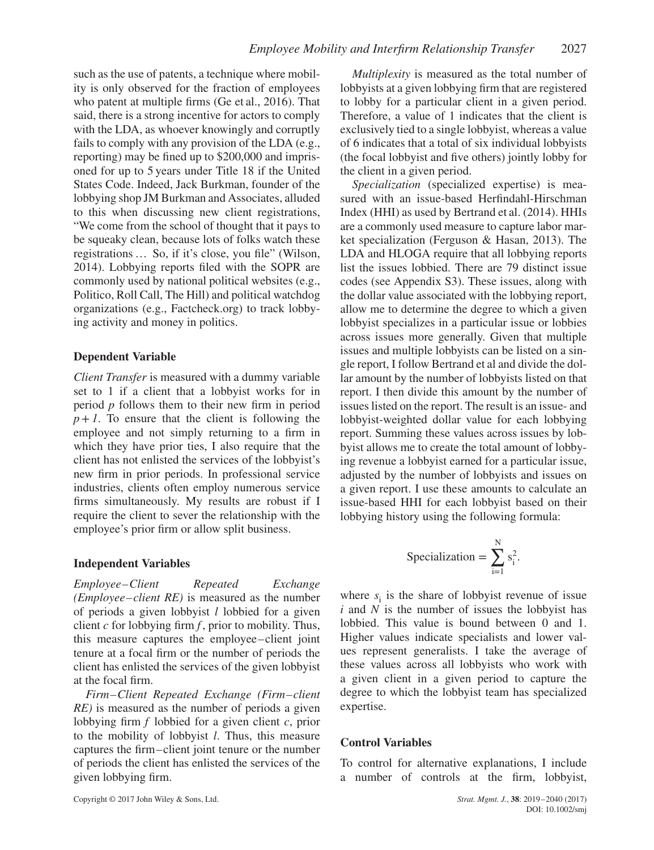such as the use of patents, a technique where mobility is only observed for the fraction of employees who patent at multiple firms (Ge et al., 2016). That said, there is a strong incentive for actors to comply with the LDA, as whoever knowingly and corruptly fails to comply with any provision of the LDA (e.g., reporting) may be fined up to \$200,000 and imprisoned for up to 5 years under Title 18 if the United States Code. Indeed, Jack Burkman, founder of the lobbying shop JM Burkman and Associates, alluded to this when discussing new client registrations, "We come from the school of thought that it pays to be squeaky clean, because lots of folks watch these registrations … So, if it's close, you file" (Wilson, 2014). Lobbying reports filed with the SOPR are commonly used by national political websites (e.g., Politico, Roll Call, The Hill) and political watchdog organizations (e.g., [Factcheck.org\)](http://factcheck.org) to track lobbying activity and money in politics.

#### **Dependent Variable**

*Client Transfer* is measured with a dummy variable set to 1 if a client that a lobbyist works for in period *p* follows them to their new firm in period  $p+1$ . To ensure that the client is following the employee and not simply returning to a firm in which they have prior ties, I also require that the client has not enlisted the services of the lobbyist's new firm in prior periods. In professional service industries, clients often employ numerous service firms simultaneously. My results are robust if I require the client to sever the relationship with the employee's prior firm or allow split business.

#### **Independent Variables**

*Employee–Client Repeated Exchange (Employee–client RE)* is measured as the number of periods a given lobbyist *l* lobbied for a given client *c* for lobbying firm *f* , prior to mobility. Thus, this measure captures the employee–client joint tenure at a focal firm or the number of periods the client has enlisted the services of the given lobbyist at the focal firm.

*Firm–Client Repeated Exchange (Firm–client RE)* is measured as the number of periods a given lobbying firm *f* lobbied for a given client *c*, prior to the mobility of lobbyist *l*. Thus, this measure captures the firm–client joint tenure or the number of periods the client has enlisted the services of the given lobbying firm.

*Multiplexity* is measured as the total number of lobbyists at a given lobbying firm that are registered to lobby for a particular client in a given period. Therefore, a value of 1 indicates that the client is exclusively tied to a single lobbyist, whereas a value of 6 indicates that a total of six individual lobbyists (the focal lobbyist and five others) jointly lobby for the client in a given period.

*Specialization* (specialized expertise) is measured with an issue-based Herfindahl-Hirschman Index (HHI) as used by Bertrand et al. (2014). HHIs are a commonly used measure to capture labor market specialization (Ferguson & Hasan, 2013). The LDA and HLOGA require that all lobbying reports list the issues lobbied. There are 79 distinct issue codes (see Appendix S3). These issues, along with the dollar value associated with the lobbying report, allow me to determine the degree to which a given lobbyist specializes in a particular issue or lobbies across issues more generally. Given that multiple issues and multiple lobbyists can be listed on a single report, I follow Bertrand et al and divide the dollar amount by the number of lobbyists listed on that report. I then divide this amount by the number of issues listed on the report. The result is an issue- and lobbyist-weighted dollar value for each lobbying report. Summing these values across issues by lobbyist allows me to create the total amount of lobbying revenue a lobbyist earned for a particular issue, adjusted by the number of lobbyists and issues on a given report. I use these amounts to calculate an issue-based HHI for each lobbyist based on their lobbying history using the following formula:

Specialization = 
$$
\sum_{i=1}^{N} s_i^2.
$$

where  $s_i$  is the share of lobbyist revenue of issue *i* and *N* is the number of issues the lobbyist has lobbied. This value is bound between 0 and 1. Higher values indicate specialists and lower values represent generalists. I take the average of these values across all lobbyists who work with a given client in a given period to capture the degree to which the lobbyist team has specialized expertise.

## **Control Variables**

To control for alternative explanations, I include a number of controls at the firm, lobbyist,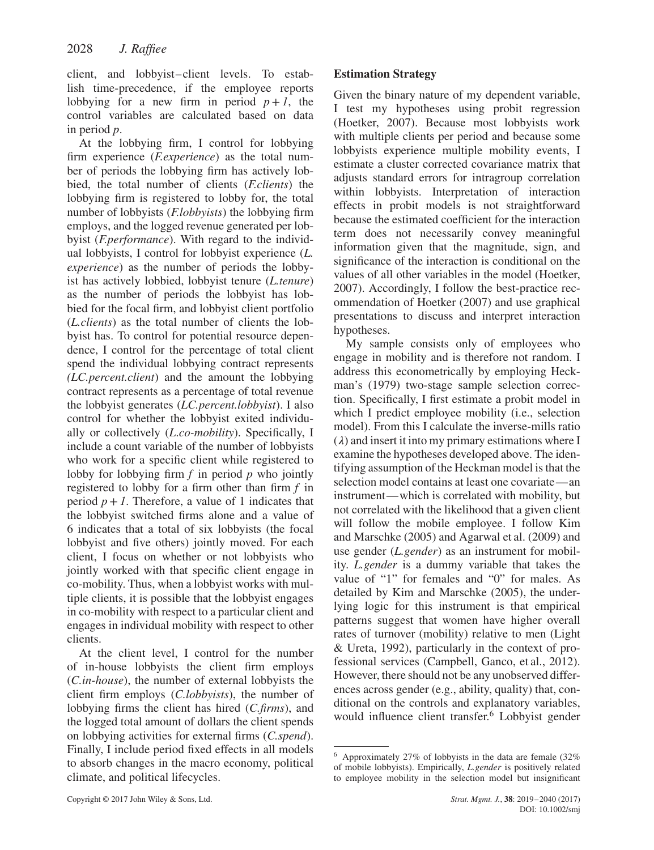client, and lobbyist–client levels. To establish time-precedence, if the employee reports lobbying for a new firm in period  $p+1$ , the control variables are calculated based on data in period *p*.

At the lobbying firm, I control for lobbying firm experience (*F.experience*) as the total number of periods the lobbying firm has actively lobbied, the total number of clients (*F.clients*) the lobbying firm is registered to lobby for, the total number of lobbyists (*F.lobbyists*) the lobbying firm employs, and the logged revenue generated per lobbyist (*F.performance*). With regard to the individual lobbyists, I control for lobbyist experience (*L. experience*) as the number of periods the lobbyist has actively lobbied, lobbyist tenure (*L.tenure*) as the number of periods the lobbyist has lobbied for the focal firm, and lobbyist client portfolio (*L.clients*) as the total number of clients the lobbyist has. To control for potential resource dependence, I control for the percentage of total client spend the individual lobbying contract represents *(LC.percent.client*) and the amount the lobbying contract represents as a percentage of total revenue the lobbyist generates (*LC.percent.lobbyist*). I also control for whether the lobbyist exited individually or collectively (*L*.*co-mobility*). Specifically, I include a count variable of the number of lobbyists who work for a specific client while registered to lobby for lobbying firm *f* in period *p* who jointly registered to lobby for a firm other than firm *f* in period  $p+1$ . Therefore, a value of 1 indicates that the lobbyist switched firms alone and a value of 6 indicates that a total of six lobbyists (the focal lobbyist and five others) jointly moved. For each client, I focus on whether or not lobbyists who jointly worked with that specific client engage in co-mobility. Thus, when a lobbyist works with multiple clients, it is possible that the lobbyist engages in co-mobility with respect to a particular client and engages in individual mobility with respect to other clients.

At the client level, I control for the number of in-house lobbyists the client firm employs (*C.in-house*), the number of external lobbyists the client firm employs (*C.lobbyists*), the number of lobbying firms the client has hired (*C.firms*), and the logged total amount of dollars the client spends on lobbying activities for external firms (*C.spend*). Finally, I include period fixed effects in all models to absorb changes in the macro economy, political climate, and political lifecycles.

## **Estimation Strategy**

Given the binary nature of my dependent variable, I test my hypotheses using probit regression (Hoetker, 2007). Because most lobbyists work with multiple clients per period and because some lobbyists experience multiple mobility events, I estimate a cluster corrected covariance matrix that adjusts standard errors for intragroup correlation within lobbyists. Interpretation of interaction effects in probit models is not straightforward because the estimated coefficient for the interaction term does not necessarily convey meaningful information given that the magnitude, sign, and significance of the interaction is conditional on the values of all other variables in the model (Hoetker, 2007). Accordingly, I follow the best-practice recommendation of Hoetker (2007) and use graphical presentations to discuss and interpret interaction hypotheses.

My sample consists only of employees who engage in mobility and is therefore not random. I address this econometrically by employing Heckman's (1979) two-stage sample selection correction. Specifically, I first estimate a probit model in which I predict employee mobility (i.e., selection model). From this I calculate the inverse-mills ratio  $(\lambda)$  and insert it into my primary estimations where I examine the hypotheses developed above. The identifying assumption of the Heckman model is that the selection model contains at least one covariate—an instrument—which is correlated with mobility, but not correlated with the likelihood that a given client will follow the mobile employee. I follow Kim and Marschke (2005) and Agarwal et al. (2009) and use gender (*L.gender*) as an instrument for mobility. *L.gender* is a dummy variable that takes the value of "1" for females and "0" for males. As detailed by Kim and Marschke (2005), the underlying logic for this instrument is that empirical patterns suggest that women have higher overall rates of turnover (mobility) relative to men (Light & Ureta, 1992), particularly in the context of professional services (Campbell, Ganco, et al., 2012). However, there should not be any unobserved differences across gender (e.g., ability, quality) that, conditional on the controls and explanatory variables, would influence client transfer.<sup>[6](#page-9-0)</sup> Lobbyist gender

<span id="page-9-0"></span> $6$  Approximately 27% of lobbyists in the data are female (32%) of mobile lobbyists). Empirically, *L.gender* is positively related to employee mobility in the selection model but insignificant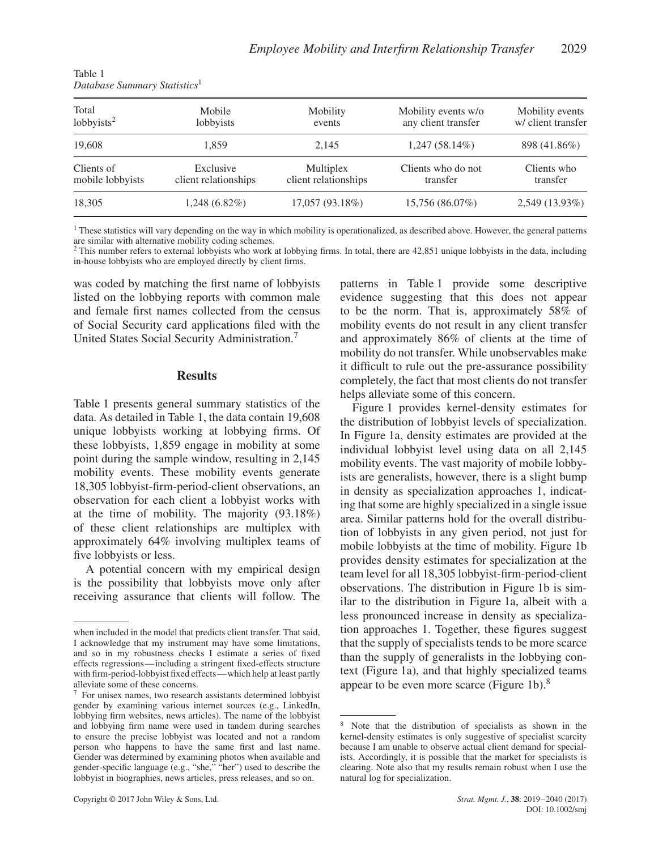| Total<br>lobbyists <sup>2</sup> | Mobile<br>lobbyists               | Mobility<br>events                | Mobility events w/o<br>any client transfer | Mobility events<br>w/ client transfer |
|---------------------------------|-----------------------------------|-----------------------------------|--------------------------------------------|---------------------------------------|
| 19,608                          | 1,859                             | 2,145                             | $1,247(58.14\%)$                           | 898 (41.86%)                          |
| Clients of<br>mobile lobbyists  | Exclusive<br>client relationships | Multiplex<br>client relationships | Clients who do not<br>transfer             | Clients who<br>transfer               |
| 18,305                          | $1,248(6.82\%)$                   | 17,057 (93.18%)                   | 15,756 (86.07%)                            | $2,549(13.93\%)$                      |
|                                 |                                   |                                   |                                            |                                       |

Table 1 *Database Summary Statistics*<sup>1</sup>

<sup>1</sup> These statistics will vary depending on the way in which mobility is operationalized, as described above. However, the general patterns are similar with alternative mobility coding schemes.

 $2$  This number refers to external lobbyists who work at lobbying firms. In total, there are  $42,851$  unique lobbyists in the data, including in-house lobbyists who are employed directly by client firms.

was coded by matching the first name of lobbyists listed on the lobbying reports with common male and female first names collected from the census of Social Security card applications filed with the United States Social Security Administration.<sup>[7](#page-10-0)</sup>

#### **Results**

Table 1 presents general summary statistics of the data. As detailed in Table 1, the data contain 19,608 unique lobbyists working at lobbying firms. Of these lobbyists, 1,859 engage in mobility at some point during the sample window, resulting in 2,145 mobility events. These mobility events generate 18,305 lobbyist-firm-period-client observations, an observation for each client a lobbyist works with at the time of mobility. The majority (93.18%) of these client relationships are multiplex with approximately 64% involving multiplex teams of five lobbyists or less.

A potential concern with my empirical design is the possibility that lobbyists move only after receiving assurance that clients will follow. The patterns in Table 1 provide some descriptive evidence suggesting that this does not appear to be the norm. That is, approximately 58% of mobility events do not result in any client transfer and approximately 86% of clients at the time of mobility do not transfer. While unobservables make it difficult to rule out the pre-assurance possibility completely, the fact that most clients do not transfer helps alleviate some of this concern.

Figure 1 provides kernel-density estimates for the distribution of lobbyist levels of specialization. In Figure 1a, density estimates are provided at the individual lobbyist level using data on all 2,145 mobility events. The vast majority of mobile lobbyists are generalists, however, there is a slight bump in density as specialization approaches 1, indicating that some are highly specialized in a single issue area. Similar patterns hold for the overall distribution of lobbyists in any given period, not just for mobile lobbyists at the time of mobility. Figure 1b provides density estimates for specialization at the team level for all 18,305 lobbyist-firm-period-client observations. The distribution in Figure 1b is similar to the distribution in Figure 1a, albeit with a less pronounced increase in density as specialization approaches 1. Together, these figures suggest that the supply of specialists tends to be more scarce than the supply of generalists in the lobbying context (Figure 1a), and that highly specialized teams appear to be even more scarce (Figure 1b). $8$ 

when included in the model that predicts client transfer. That said, I acknowledge that my instrument may have some limitations, and so in my robustness checks I estimate a series of fixed effects regressions—including a stringent fixed-effects structure with firm-period-lobbyist fixed effects—which help at least partly alleviate some of these concerns.

<span id="page-10-0"></span><sup>7</sup> For unisex names, two research assistants determined lobbyist gender by examining various internet sources (e.g., LinkedIn, lobbying firm websites, news articles). The name of the lobbyist and lobbying firm name were used in tandem during searches to ensure the precise lobbyist was located and not a random person who happens to have the same first and last name. Gender was determined by examining photos when available and gender-specific language (e.g., "she," "her") used to describe the lobbyist in biographies, news articles, press releases, and so on.

<span id="page-10-1"></span><sup>8</sup> Note that the distribution of specialists as shown in the kernel-density estimates is only suggestive of specialist scarcity because I am unable to observe actual client demand for specialists. Accordingly, it is possible that the market for specialists is clearing. Note also that my results remain robust when I use the natural log for specialization.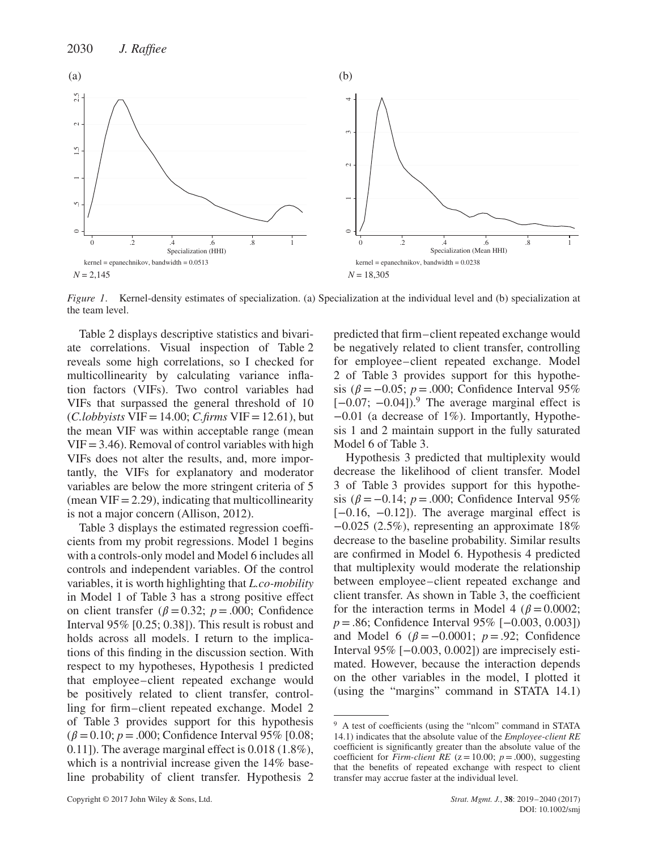

*Figure 1*. Kernel-density estimates of specialization. (a) Specialization at the individual level and (b) specialization at the team level.

Table 2 displays descriptive statistics and bivariate correlations. Visual inspection of Table 2 reveals some high correlations, so I checked for multicollinearity by calculating variance inflation factors (VIFs). Two control variables had VIFs that surpassed the general threshold of 10 (*C.lobbyists* VIF=14.00; *C.firms* VIF=12.61), but the mean VIF was within acceptable range (mean  $VIF = 3.46$ ). Removal of control variables with high VIFs does not alter the results, and, more importantly, the VIFs for explanatory and moderator variables are below the more stringent criteria of 5 (mean  $VIF = 2.29$ ), indicating that multicollinearity is not a major concern (Allison, 2012).

Table 3 displays the estimated regression coefficients from my probit regressions. Model 1 begins with a controls-only model and Model 6 includes all controls and independent variables. Of the control variables, it is worth highlighting that *L.co-mobility* in Model 1 of Table 3 has a strong positive effect on client transfer ( $\beta = 0.32$ ;  $p = .000$ ; Confidence Interval 95% [0.25; 0.38]). This result is robust and holds across all models. I return to the implications of this finding in the discussion section. With respect to my hypotheses, Hypothesis 1 predicted that employee–client repeated exchange would be positively related to client transfer, controlling for firm–client repeated exchange. Model 2 of Table 3 provides support for this hypothesis  $(\beta = 0.10; p = .000;$  Confidence Interval 95% [0.08; 0.11]). The average marginal effect is 0.018 (1.8%), which is a nontrivial increase given the 14% baseline probability of client transfer. Hypothesis 2 predicted that firm–client repeated exchange would be negatively related to client transfer, controlling for employee–client repeated exchange. Model 2 of Table 3 provides support for this hypothesis ( $\beta = -0.05$ ; *p* = .000; Confidence Interval 95%  $[-0.07; -0.04]$ .<sup>9</sup> The average marginal effect is −0.01 (a decrease of 1%). Importantly, Hypothesis 1 and 2 maintain support in the fully saturated Model 6 of Table 3.

Hypothesis 3 predicted that multiplexity would decrease the likelihood of client transfer. Model 3 of Table 3 provides support for this hypothesis ( $\beta = -0.14$ ;  $p = .000$ ; Confidence Interval 95% [ $-0.16$ ,  $-0.12$ ]). The average marginal effect is  $-0.025$  (2.5%), representing an approximate 18% decrease to the baseline probability. Similar results are confirmed in Model 6. Hypothesis 4 predicted that multiplexity would moderate the relationship between employee–client repeated exchange and client transfer. As shown in Table 3, the coefficient for the interaction terms in Model 4 ( $\beta = 0.0002$ ; *p* = .86; Confidence Interval 95% [−0.003, 0.003]) and Model 6 ( $\beta = -0.0001$ ;  $p = .92$ ; Confidence Interval 95% [−0.003, 0.002]) are imprecisely estimated. However, because the interaction depends on the other variables in the model, I plotted it (using the "margins" command in STATA 14.1)

<span id="page-11-0"></span><sup>9</sup> A test of coefficients (using the "nlcom" command in STATA 14.1) indicates that the absolute value of the *Employee-client RE* coefficient is significantly greater than the absolute value of the coefficient for  $\overline{Firm\text{-}client}$   $\overline{RE}$  ( $z=10.00; p=.000$ ), suggesting that the benefits of repeated exchange with respect to client transfer may accrue faster at the individual level.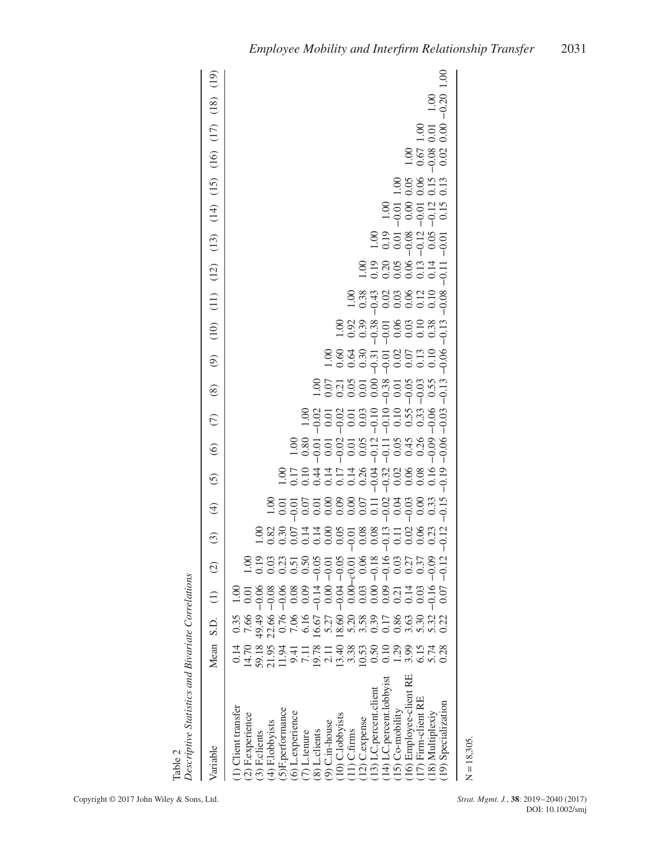| Descriptive Statistics and Bivariate Correlations<br>Table 2                                                                                                                                                                                                                                                                                                                                                          |                                                                        |                                                                                                                                                                                                                        |                                 |                                                                |         |                                    |                                |                |       |                                |                            |                               |                      |                   |                                    |                      |                                                     |         |      |
|-----------------------------------------------------------------------------------------------------------------------------------------------------------------------------------------------------------------------------------------------------------------------------------------------------------------------------------------------------------------------------------------------------------------------|------------------------------------------------------------------------|------------------------------------------------------------------------------------------------------------------------------------------------------------------------------------------------------------------------|---------------------------------|----------------------------------------------------------------|---------|------------------------------------|--------------------------------|----------------|-------|--------------------------------|----------------------------|-------------------------------|----------------------|-------------------|------------------------------------|----------------------|-----------------------------------------------------|---------|------|
| Variable                                                                                                                                                                                                                                                                                                                                                                                                              | Mean S.D.                                                              |                                                                                                                                                                                                                        |                                 | $\widehat{\circ}$                                              | $\odot$ | $\bigoplus$                        | $\odot$                        | $\circledcirc$ | $\in$ | $\circledast$                  | $\circledcirc$             |                               | $(10)$ $(11)$ $(12)$ | (13)              | $(14)$ $(15)$ $(16)$ $(17)$ $(18)$ |                      |                                                     |         | (19) |
| 16) Employee-client RE<br>(10) C.lobyists<br>(11) C.fmms<br>(12) C.expense<br>(13) LC.percent.client<br>(14) LC.percent.lobbyist<br>(15) Co-mobility<br>17) Firm-client RE<br>(19) Specialization<br>(1) Client transfer<br>(5)F.performance<br>(6) L. experience<br>18) Multiplexiy<br>(2) F.experience<br>(4) F.1obbyists<br>(9) C.in-house<br>$(7)$ L. tenure<br>$(8)$ L. clients<br>(3) F.clients<br>$N = 18,305$ | 0.14<br>5.74<br>0.28<br>6.15<br>1.29<br>3.99<br>0.5(<br>$\frac{1}{10}$ | $18.60 - 0.04$<br>5.20 0.00<br>$49.49 - 0.06$ $22.66 - 0.08$ $27.66 - 0.08$ $0.76 - 0.06$ $0.16$ $0.16$ $16.67 - 0.14$ $5.27$ $0.27$ $0.00 - 0.14$<br>7.66<br>0.35<br>0.39<br>0.86<br>0.22<br>ය පි.<br>යි. පි.<br>0.17 | $-0.16$<br>0.07<br>0.01<br>00.1 | 838898888888888868<br>- 000000000000000000<br>8388588888888888 |         | 8556588657838889<br>85565888678388 | scattringsses<br>Scattringsses |                |       | 3671838838883<br>1000000000000 | 88885586538<br>10009000000 | 888888888888<br>- 88888888888 |                      | 8338285<br>239999 | 858511<br>196990                   | 1.00<br>0.00<br>0.00 | $\begin{array}{c} 0.00 \\ 0.01 \\ 0.00 \end{array}$ | $-0.20$ | 00.1 |
|                                                                                                                                                                                                                                                                                                                                                                                                                       |                                                                        |                                                                                                                                                                                                                        |                                 |                                                                |         |                                    |                                |                |       |                                |                            |                               |                      |                   |                                    |                      |                                                     |         |      |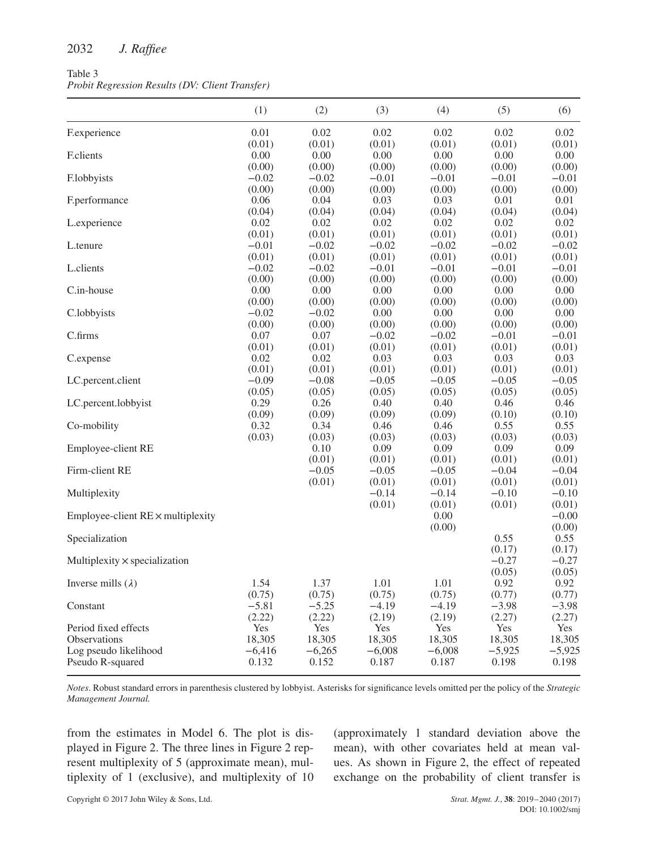# 2032 *J. Raffiee*

#### Table 3 *Probit Regression Results (DV: Client Transfer)*

|                                          | (1)               | (2)               | (3)               | (4)               | (5)               | (6)               |
|------------------------------------------|-------------------|-------------------|-------------------|-------------------|-------------------|-------------------|
| <b>F</b> .experience                     | 0.01              | 0.02              | 0.02              | 0.02              | 0.02              | 0.02              |
| <b>F.clients</b>                         | (0.01)<br>0.00    | (0.01)<br>0.00    | (0.01)<br>0.00    | (0.01)<br>0.00    | (0.01)<br>0.00    | (0.01)<br>0.00    |
|                                          | (0.00)            | (0.00)            | (0.00)            | (0.00)            | (0.00)            | (0.00)            |
| F.lobbyists                              | $-0.02$           | $-0.02$           | $-0.01$           | $-0.01$           | $-0.01$           | $-0.01$           |
|                                          | (0.00)            | (0.00)            | (0.00)            | (0.00)            | (0.00)            | (0.00)            |
| F.performance                            | 0.06              | 0.04              | 0.03              | 0.03              | 0.01              | 0.01              |
|                                          | (0.04)            | (0.04)            | (0.04)            | (0.04)            | (0.04)            | (0.04)            |
| L.experience                             | 0.02              | 0.02              | 0.02              | 0.02              | 0.02              | 0.02<br>(0.01)    |
| L.tenure                                 | (0.01)<br>$-0.01$ | (0.01)<br>$-0.02$ | (0.01)<br>$-0.02$ | (0.01)<br>$-0.02$ | (0.01)<br>$-0.02$ | $-0.02$           |
|                                          | (0.01)            | (0.01)            | (0.01)            | (0.01)            | (0.01)            | (0.01)            |
| <b>L</b> .clients                        | $-0.02$           | $-0.02$           | $-0.01$           | $-0.01$           | $-0.01$           | $-0.01$           |
|                                          | (0.00)            | (0.00)            | (0.00)            | (0.00)            | (0.00)            | (0.00)            |
| C.in-house                               | 0.00              | 0.00              | 0.00              | 0.00              | 0.00              | 0.00              |
|                                          | (0.00)            | (0.00)            | (0.00)            | (0.00)            | (0.00)            | (0.00)            |
| C.lobbyists                              | $-0.02$           | $-0.02$           | 0.00              | 0.00              | 0.00              | 0.00              |
|                                          | (0.00)            | (0.00)            | (0.00)            | (0.00)            | (0.00)            | (0.00)            |
| C.firms                                  | 0.07              | 0.07              | $-0.02$           | $-0.02$           | $-0.01$           | $-0.01$           |
| C.expense                                | (0.01)<br>0.02    | (0.01)<br>0.02    | (0.01)<br>0.03    | (0.01)<br>0.03    | (0.01)<br>0.03    | (0.01)<br>0.03    |
|                                          | (0.01)            | (0.01)            | (0.01)            | (0.01)            | (0.01)            | (0.01)            |
| LC.percent.client                        | $-0.09$           | $-0.08$           | $-0.05$           | $-0.05$           | $-0.05$           | $-0.05$           |
|                                          | (0.05)            | (0.05)            | (0.05)            | (0.05)            | (0.05)            | (0.05)            |
| LC.percent.lobbyist                      | 0.29              | 0.26              | 0.40              | 0.40              | 0.46              | 0.46              |
|                                          | (0.09)            | (0.09)            | (0.09)            | (0.09)            | (0.10)            | (0.10)            |
| Co-mobility                              | 0.32              | 0.34              | 0.46              | 0.46              | 0.55              | 0.55              |
|                                          | (0.03)            | (0.03)            | (0.03)            | (0.03)            | (0.03)            | (0.03)            |
| Employee-client RE                       |                   | 0.10              | 0.09              | 0.09              | 0.09              | 0.09              |
| Firm-client RE                           |                   | (0.01)<br>$-0.05$ | (0.01)<br>$-0.05$ | (0.01)<br>$-0.05$ | (0.01)<br>$-0.04$ | (0.01)<br>$-0.04$ |
|                                          |                   | (0.01)            | (0.01)            | (0.01)            | (0.01)            | (0.01)            |
| Multiplexity                             |                   |                   | $-0.14$           | $-0.14$           | $-0.10$           | $-0.10$           |
|                                          |                   |                   | (0.01)            | (0.01)            | (0.01)            | (0.01)            |
| Employee-client $RE \times$ multiplexity |                   |                   |                   | 0.00              |                   | $-0.00$           |
|                                          |                   |                   |                   | (0.00)            |                   | (0.00)            |
| Specialization                           |                   |                   |                   |                   | 0.55              | 0.55              |
|                                          |                   |                   |                   |                   | (0.17)            | (0.17)            |
| Multiplexity $\times$ specialization     |                   |                   |                   |                   | $-0.27$           | $-0.27$           |
| Inverse mills $(\lambda)$                | 1.54              | 1.37              | 1.01              | 1.01              | (0.05)<br>0.92    | (0.05)<br>0.92    |
|                                          | (0.75)            | (0.75)            | (0.75)            | (0.75)            | (0.77)            | (0.77)            |
| Constant                                 | $-5.81$           | $-5.25$           | $-4.19$           | $-4.19$           | $-3.98$           | $-3.98$           |
|                                          | (2.22)            | (2.22)            | (2.19)            | (2.19)            | (2.27)            | (2.27)            |
| Period fixed effects                     | Yes               | Yes               | Yes               | Yes               | Yes               | <b>Yes</b>        |
| <b>Observations</b>                      | 18,305            | 18,305            | 18,305            | 18,305            | 18,305            | 18,305            |
| Log pseudo likelihood                    | $-6,416$          | $-6,265$          | $-6,008$          | $-6,008$          | $-5,925$          | $-5,925$          |
| Pseudo R-squared                         | 0.132             | 0.152             | 0.187             | 0.187             | 0.198             | 0.198             |

*Notes*. Robust standard errors in parenthesis clustered by lobbyist. Asterisks for significance levels omitted per the policy of the *Strategic Management Journal.*

from the estimates in Model 6. The plot is displayed in Figure 2. The three lines in Figure 2 represent multiplexity of 5 (approximate mean), multiplexity of 1 (exclusive), and multiplexity of 10 (approximately 1 standard deviation above the mean), with other covariates held at mean values. As shown in Figure 2, the effect of repeated exchange on the probability of client transfer is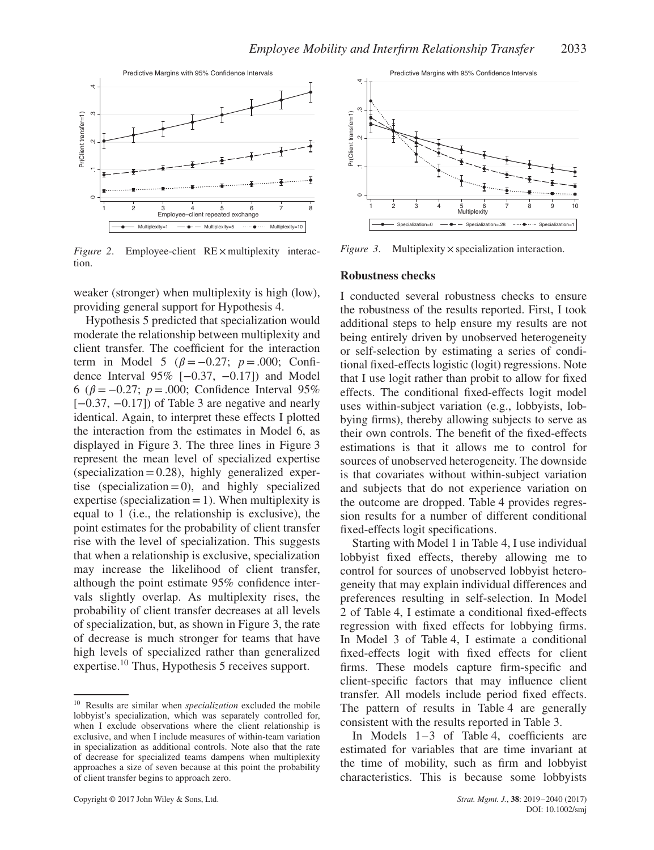

*Figure 2.* Employee-client RE × multiplexity interaction.

weaker (stronger) when multiplexity is high (low), providing general support for Hypothesis 4.

Hypothesis 5 predicted that specialization would moderate the relationship between multiplexity and client transfer. The coefficient for the interaction term in Model 5 ( $\beta = -0.27$ ;  $p = .000$ ; Confidence Interval 95% [−0.37, −0.17]) and Model 6 ( $\beta = -0.27$ ;  $p = .000$ ; Confidence Interval 95% [−0.37, −0.17]) of Table 3 are negative and nearly identical. Again, to interpret these effects I plotted the interaction from the estimates in Model 6, as displayed in Figure 3. The three lines in Figure 3 represent the mean level of specialized expertise  $(specialization = 0.28)$ , highly generalized expertise (specialization=0), and highly specialized expertise (specialization  $=1$ ). When multiplexity is equal to 1 (i.e., the relationship is exclusive), the point estimates for the probability of client transfer rise with the level of specialization. This suggests that when a relationship is exclusive, specialization may increase the likelihood of client transfer, although the point estimate 95% confidence intervals slightly overlap. As multiplexity rises, the probability of client transfer decreases at all levels of specialization, but, as shown in Figure 3, the rate of decrease is much stronger for teams that have high levels of specialized rather than generalized expertise.[10](#page-14-0) Thus, Hypothesis 5 receives support.



*Figure 3.* Multiplexity  $\times$  specialization interaction.

#### **Robustness checks**

I conducted several robustness checks to ensure the robustness of the results reported. First, I took additional steps to help ensure my results are not being entirely driven by unobserved heterogeneity or self-selection by estimating a series of conditional fixed-effects logistic (logit) regressions. Note that I use logit rather than probit to allow for fixed effects. The conditional fixed-effects logit model uses within-subject variation (e.g., lobbyists, lobbying firms), thereby allowing subjects to serve as their own controls. The benefit of the fixed-effects estimations is that it allows me to control for sources of unobserved heterogeneity. The downside is that covariates without within-subject variation and subjects that do not experience variation on the outcome are dropped. Table 4 provides regression results for a number of different conditional fixed-effects logit specifications.

Starting with Model 1 in Table 4, I use individual lobbyist fixed effects, thereby allowing me to control for sources of unobserved lobbyist heterogeneity that may explain individual differences and preferences resulting in self-selection. In Model 2 of Table 4, I estimate a conditional fixed-effects regression with fixed effects for lobbying firms. In Model 3 of Table 4, I estimate a conditional fixed-effects logit with fixed effects for client firms. These models capture firm-specific and client-specific factors that may influence client transfer. All models include period fixed effects. The pattern of results in Table 4 are generally consistent with the results reported in Table 3.

In Models 1–3 of Table 4, coefficients are estimated for variables that are time invariant at the time of mobility, such as firm and lobbyist characteristics. This is because some lobbyists

<span id="page-14-0"></span><sup>10</sup> Results are similar when *specialization* excluded the mobile lobbyist's specialization, which was separately controlled for, when I exclude observations where the client relationship is exclusive, and when I include measures of within-team variation in specialization as additional controls. Note also that the rate of decrease for specialized teams dampens when multiplexity approaches a size of seven because at this point the probability of client transfer begins to approach zero.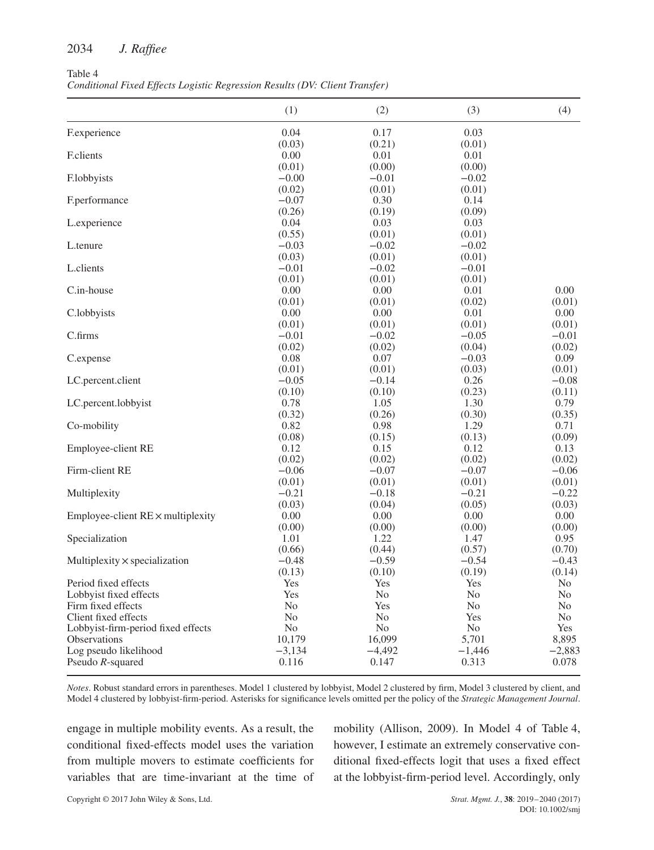# 2034 *J. Raffiee*

Table 4 *Conditional Fixed Effects Logistic Regression Results (DV: Client Transfer)*

|                                      | (1)            | (2)            | (3)            | (4)            |
|--------------------------------------|----------------|----------------|----------------|----------------|
| <b>F</b> .experience                 | 0.04           | 0.17           | 0.03           |                |
|                                      | (0.03)         | (0.21)         | (0.01)         |                |
| <b>F.clients</b>                     | 0.00           | 0.01           | 0.01           |                |
|                                      | (0.01)         | (0.00)         | (0.00)         |                |
| F.lobbyists                          | $-0.00$        | $-0.01$        | $-0.02$        |                |
|                                      | (0.02)         | (0.01)         | (0.01)         |                |
| F.performance                        | $-0.07$        | 0.30           | 0.14           |                |
|                                      | (0.26)         | (0.19)         | (0.09)         |                |
| L.experience                         | 0.04           | 0.03           | 0.03           |                |
|                                      | (0.55)         | (0.01)         | (0.01)         |                |
| L.tenure                             | $-0.03$        | $-0.02$        | $-0.02$        |                |
|                                      | (0.03)         | (0.01)         | (0.01)         |                |
| L.clients                            | $-0.01$        | $-0.02$        | $-0.01$        |                |
|                                      | (0.01)         | (0.01)         | (0.01)         |                |
| C.in-house                           | 0.00           | 0.00           | 0.01           | 0.00           |
|                                      | (0.01)         | (0.01)         | (0.02)         | (0.01)         |
| C.lobbyists                          | 0.00           | 0.00           | 0.01           | 0.00           |
|                                      | (0.01)         | (0.01)         | (0.01)         | (0.01)         |
| C.firms                              | $-0.01$        | $-0.02$        | $-0.05$        | $-0.01$        |
|                                      | (0.02)         | (0.02)         | (0.04)         | (0.02)         |
| C.expense                            | 0.08           | 0.07           | $-0.03$        | 0.09           |
|                                      | (0.01)         | (0.01)         | (0.03)         | (0.01)         |
| LC.percent.client                    | $-0.05$        | $-0.14$        | 0.26           | $-0.08$        |
|                                      | (0.10)         | (0.10)         | (0.23)         | (0.11)         |
| LC.percent.lobbyist                  | 0.78           | 1.05           | 1.30           | 0.79           |
|                                      | (0.32)         | (0.26)         | (0.30)         | (0.35)         |
| Co-mobility                          | 0.82           | 0.98           | 1.29           | 0.71           |
|                                      | (0.08)         | (0.15)         | (0.13)         | (0.09)         |
| Employee-client RE                   | 0.12           | 0.15           | 0.12           | 0.13           |
|                                      | (0.02)         | (0.02)         | (0.02)         | (0.02)         |
| Firm-client RE                       | $-0.06$        | $-0.07$        | $-0.07$        | $-0.06$        |
|                                      | (0.01)         | (0.01)         | (0.01)         | (0.01)         |
| Multiplexity                         | $-0.21$        | $-0.18$        | $-0.21$        | $-0.22$        |
|                                      | (0.03)         | (0.04)         | (0.05)         | (0.03)         |
| Employee-client RE x multiplexity    | 0.00           | 0.00           | 0.00           | 0.00           |
|                                      | (0.00)         | (0.00)         | (0.00)         | (0.00)         |
| Specialization                       | 1.01           | 1.22           | 1.47           | 0.95           |
|                                      | (0.66)         | (0.44)         | (0.57)         | (0.70)         |
| Multiplexity $\times$ specialization | $-0.48$        | $-0.59$        | $-0.54$        | $-0.43$        |
|                                      | (0.13)         | (0.10)         | (0.19)         | (0.14)         |
| Period fixed effects                 | Yes            | Yes            | Yes            | N <sub>o</sub> |
| Lobbyist fixed effects               | Yes            | N <sub>o</sub> | N <sub>o</sub> | N <sub>o</sub> |
| Firm fixed effects                   | No             | Yes            | No             | N <sub>o</sub> |
| Client fixed effects                 | No             | N <sub>o</sub> | Yes            | N <sub>o</sub> |
| Lobbyist-firm-period fixed effects   | N <sub>0</sub> | N <sub>o</sub> | N <sub>o</sub> | Yes            |
| Observations                         | 10,179         | 16,099         | 5,701          | 8,895          |
| Log pseudo likelihood                | $-3,134$       | $-4,492$       | $-1,446$       | $-2,883$       |
| Pseudo R-squared                     | 0.116          | 0.147          | 0.313          | 0.078          |

*Notes*. Robust standard errors in parentheses. Model 1 clustered by lobbyist, Model 2 clustered by firm, Model 3 clustered by client, and Model 4 clustered by lobbyist-firm-period. Asterisks for significance levels omitted per the policy of the *Strategic Management Journal*.

engage in multiple mobility events. As a result, the conditional fixed-effects model uses the variation from multiple movers to estimate coefficients for variables that are time-invariant at the time of mobility (Allison, 2009). In Model 4 of Table 4, however, I estimate an extremely conservative conditional fixed-effects logit that uses a fixed effect at the lobbyist-firm-period level. Accordingly, only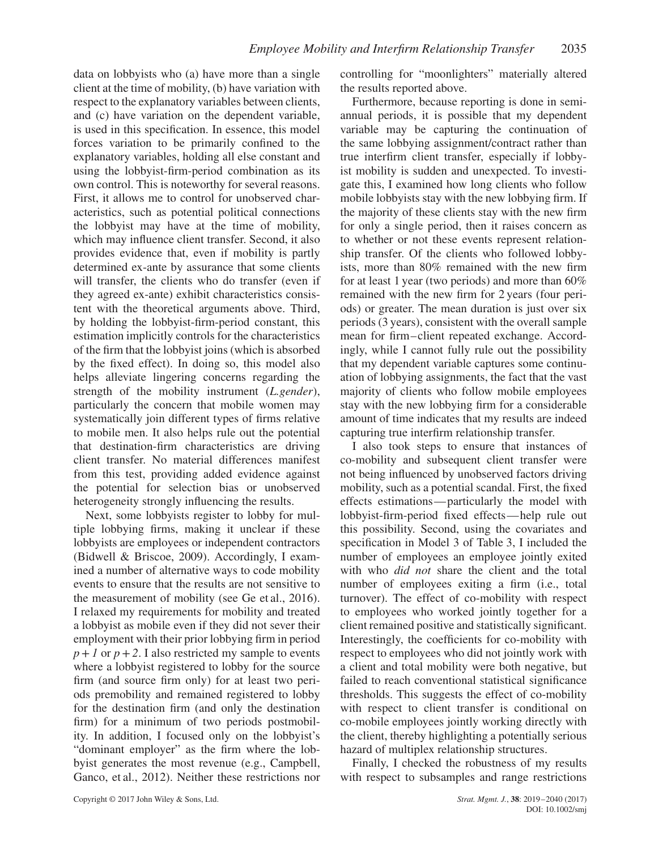data on lobbyists who (a) have more than a single client at the time of mobility, (b) have variation with respect to the explanatory variables between clients, and (c) have variation on the dependent variable, is used in this specification. In essence, this model forces variation to be primarily confined to the explanatory variables, holding all else constant and using the lobbyist-firm-period combination as its own control. This is noteworthy for several reasons. First, it allows me to control for unobserved characteristics, such as potential political connections the lobbyist may have at the time of mobility, which may influence client transfer. Second, it also provides evidence that, even if mobility is partly determined ex-ante by assurance that some clients will transfer, the clients who do transfer (even if they agreed ex-ante) exhibit characteristics consistent with the theoretical arguments above. Third, by holding the lobbyist-firm-period constant, this estimation implicitly controls for the characteristics of the firm that the lobbyist joins (which is absorbed by the fixed effect). In doing so, this model also helps alleviate lingering concerns regarding the strength of the mobility instrument (*L.gender*), particularly the concern that mobile women may systematically join different types of firms relative to mobile men. It also helps rule out the potential that destination-firm characteristics are driving client transfer. No material differences manifest from this test, providing added evidence against the potential for selection bias or unobserved heterogeneity strongly influencing the results.

Next, some lobbyists register to lobby for multiple lobbying firms, making it unclear if these lobbyists are employees or independent contractors (Bidwell & Briscoe, 2009). Accordingly, I examined a number of alternative ways to code mobility events to ensure that the results are not sensitive to the measurement of mobility (see Ge et al., 2016). I relaxed my requirements for mobility and treated a lobbyist as mobile even if they did not sever their employment with their prior lobbying firm in period  $p+1$  or  $p+2$ . I also restricted my sample to events where a lobbyist registered to lobby for the source firm (and source firm only) for at least two periods premobility and remained registered to lobby for the destination firm (and only the destination firm) for a minimum of two periods postmobility. In addition, I focused only on the lobbyist's "dominant employer" as the firm where the lobbyist generates the most revenue (e.g., Campbell, Ganco, et al., 2012). Neither these restrictions nor controlling for "moonlighters" materially altered the results reported above.

Furthermore, because reporting is done in semiannual periods, it is possible that my dependent variable may be capturing the continuation of the same lobbying assignment/contract rather than true interfirm client transfer, especially if lobbyist mobility is sudden and unexpected. To investigate this, I examined how long clients who follow mobile lobbyists stay with the new lobbying firm. If the majority of these clients stay with the new firm for only a single period, then it raises concern as to whether or not these events represent relationship transfer. Of the clients who followed lobbyists, more than 80% remained with the new firm for at least 1 year (two periods) and more than 60% remained with the new firm for 2 years (four periods) or greater. The mean duration is just over six periods (3 years), consistent with the overall sample mean for firm–client repeated exchange. Accordingly, while I cannot fully rule out the possibility that my dependent variable captures some continuation of lobbying assignments, the fact that the vast majority of clients who follow mobile employees stay with the new lobbying firm for a considerable amount of time indicates that my results are indeed capturing true interfirm relationship transfer.

I also took steps to ensure that instances of co-mobility and subsequent client transfer were not being influenced by unobserved factors driving mobility, such as a potential scandal. First, the fixed effects estimations—particularly the model with lobbyist-firm-period fixed effects—help rule out this possibility. Second, using the covariates and specification in Model 3 of Table 3, I included the number of employees an employee jointly exited with who *did not* share the client and the total number of employees exiting a firm (i.e., total turnover). The effect of co-mobility with respect to employees who worked jointly together for a client remained positive and statistically significant. Interestingly, the coefficients for co-mobility with respect to employees who did not jointly work with a client and total mobility were both negative, but failed to reach conventional statistical significance thresholds. This suggests the effect of co-mobility with respect to client transfer is conditional on co-mobile employees jointly working directly with the client, thereby highlighting a potentially serious hazard of multiplex relationship structures.

Finally, I checked the robustness of my results with respect to subsamples and range restrictions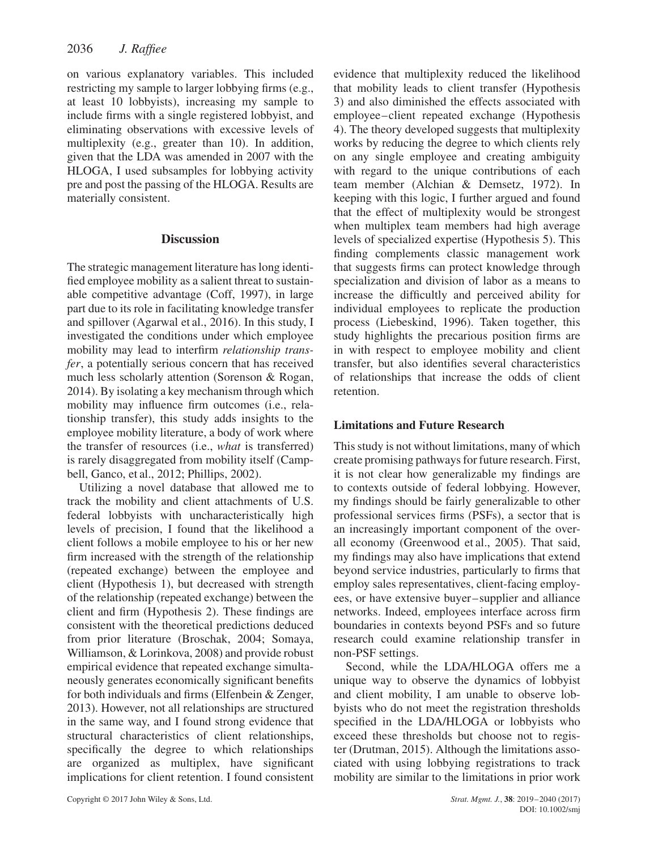on various explanatory variables. This included restricting my sample to larger lobbying firms (e.g., at least 10 lobbyists), increasing my sample to include firms with a single registered lobbyist, and eliminating observations with excessive levels of multiplexity (e.g., greater than 10). In addition, given that the LDA was amended in 2007 with the HLOGA, I used subsamples for lobbying activity pre and post the passing of the HLOGA. Results are materially consistent.

## **Discussion**

The strategic management literature has long identified employee mobility as a salient threat to sustainable competitive advantage (Coff, 1997), in large part due to its role in facilitating knowledge transfer and spillover (Agarwal et al., 2016). In this study, I investigated the conditions under which employee mobility may lead to interfirm *relationship transfer*, a potentially serious concern that has received much less scholarly attention (Sorenson & Rogan, 2014). By isolating a key mechanism through which mobility may influence firm outcomes (i.e., relationship transfer), this study adds insights to the employee mobility literature, a body of work where the transfer of resources (i.e., *what* is transferred) is rarely disaggregated from mobility itself (Campbell, Ganco, et al., 2012; Phillips, 2002).

Utilizing a novel database that allowed me to track the mobility and client attachments of U.S. federal lobbyists with uncharacteristically high levels of precision, I found that the likelihood a client follows a mobile employee to his or her new firm increased with the strength of the relationship (repeated exchange) between the employee and client (Hypothesis 1), but decreased with strength of the relationship (repeated exchange) between the client and firm (Hypothesis 2). These findings are consistent with the theoretical predictions deduced from prior literature (Broschak, 2004; Somaya, Williamson, & Lorinkova, 2008) and provide robust empirical evidence that repeated exchange simultaneously generates economically significant benefits for both individuals and firms (Elfenbein & Zenger, 2013). However, not all relationships are structured in the same way, and I found strong evidence that structural characteristics of client relationships, specifically the degree to which relationships are organized as multiplex, have significant implications for client retention. I found consistent evidence that multiplexity reduced the likelihood that mobility leads to client transfer (Hypothesis 3) and also diminished the effects associated with employee–client repeated exchange (Hypothesis 4). The theory developed suggests that multiplexity works by reducing the degree to which clients rely on any single employee and creating ambiguity with regard to the unique contributions of each team member (Alchian & Demsetz, 1972). In keeping with this logic, I further argued and found that the effect of multiplexity would be strongest when multiplex team members had high average levels of specialized expertise (Hypothesis 5). This finding complements classic management work that suggests firms can protect knowledge through specialization and division of labor as a means to increase the difficultly and perceived ability for individual employees to replicate the production process (Liebeskind, 1996). Taken together, this study highlights the precarious position firms are in with respect to employee mobility and client transfer, but also identifies several characteristics of relationships that increase the odds of client retention.

## **Limitations and Future Research**

This study is not without limitations, many of which create promising pathways for future research. First, it is not clear how generalizable my findings are to contexts outside of federal lobbying. However, my findings should be fairly generalizable to other professional services firms (PSFs), a sector that is an increasingly important component of the overall economy (Greenwood et al., 2005). That said, my findings may also have implications that extend beyond service industries, particularly to firms that employ sales representatives, client-facing employees, or have extensive buyer–supplier and alliance networks. Indeed, employees interface across firm boundaries in contexts beyond PSFs and so future research could examine relationship transfer in non-PSF settings.

Second, while the LDA/HLOGA offers me a unique way to observe the dynamics of lobbyist and client mobility, I am unable to observe lobbyists who do not meet the registration thresholds specified in the LDA/HLOGA or lobbyists who exceed these thresholds but choose not to register (Drutman, 2015). Although the limitations associated with using lobbying registrations to track mobility are similar to the limitations in prior work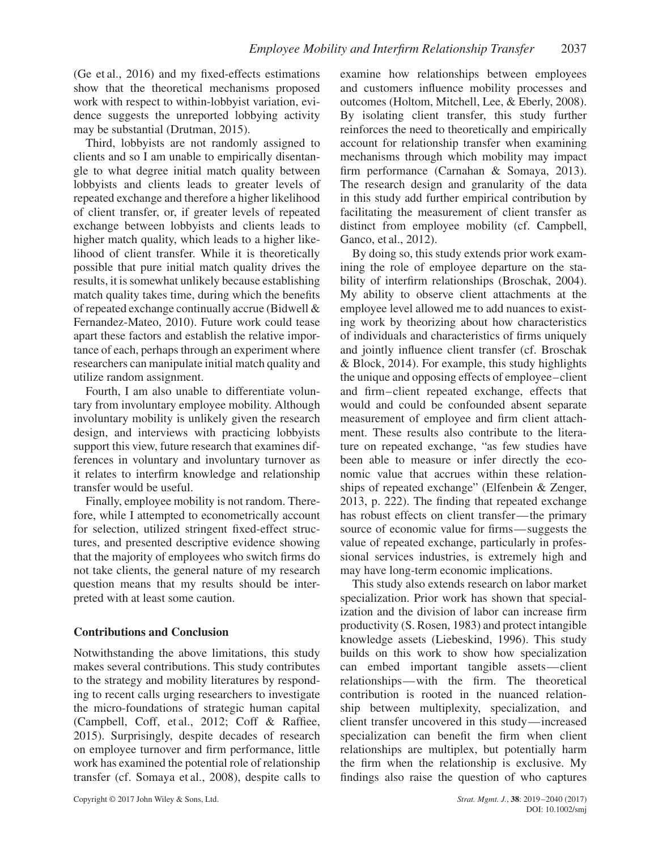(Ge et al., 2016) and my fixed-effects estimations show that the theoretical mechanisms proposed work with respect to within-lobbyist variation, evidence suggests the unreported lobbying activity may be substantial (Drutman, 2015).

Third, lobbyists are not randomly assigned to clients and so I am unable to empirically disentangle to what degree initial match quality between lobbyists and clients leads to greater levels of repeated exchange and therefore a higher likelihood of client transfer, or, if greater levels of repeated exchange between lobbyists and clients leads to higher match quality, which leads to a higher likelihood of client transfer. While it is theoretically possible that pure initial match quality drives the results, it is somewhat unlikely because establishing match quality takes time, during which the benefits of repeated exchange continually accrue (Bidwell & Fernandez-Mateo, 2010). Future work could tease apart these factors and establish the relative importance of each, perhaps through an experiment where researchers can manipulate initial match quality and utilize random assignment.

Fourth, I am also unable to differentiate voluntary from involuntary employee mobility. Although involuntary mobility is unlikely given the research design, and interviews with practicing lobbyists support this view, future research that examines differences in voluntary and involuntary turnover as it relates to interfirm knowledge and relationship transfer would be useful.

Finally, employee mobility is not random. Therefore, while I attempted to econometrically account for selection, utilized stringent fixed-effect structures, and presented descriptive evidence showing that the majority of employees who switch firms do not take clients, the general nature of my research question means that my results should be interpreted with at least some caution.

## **Contributions and Conclusion**

Notwithstanding the above limitations, this study makes several contributions. This study contributes to the strategy and mobility literatures by responding to recent calls urging researchers to investigate the micro-foundations of strategic human capital (Campbell, Coff, et al., 2012; Coff & Raffiee, 2015). Surprisingly, despite decades of research on employee turnover and firm performance, little work has examined the potential role of relationship transfer (cf. Somaya et al., 2008), despite calls to examine how relationships between employees and customers influence mobility processes and outcomes (Holtom, Mitchell, Lee, & Eberly, 2008). By isolating client transfer, this study further reinforces the need to theoretically and empirically account for relationship transfer when examining mechanisms through which mobility may impact firm performance (Carnahan & Somaya, 2013). The research design and granularity of the data in this study add further empirical contribution by facilitating the measurement of client transfer as distinct from employee mobility (cf. Campbell, Ganco, et al., 2012).

By doing so, this study extends prior work examining the role of employee departure on the stability of interfirm relationships (Broschak, 2004). My ability to observe client attachments at the employee level allowed me to add nuances to existing work by theorizing about how characteristics of individuals and characteristics of firms uniquely and jointly influence client transfer (cf. Broschak & Block, 2014). For example, this study highlights the unique and opposing effects of employee–client and firm–client repeated exchange, effects that would and could be confounded absent separate measurement of employee and firm client attachment. These results also contribute to the literature on repeated exchange, "as few studies have been able to measure or infer directly the economic value that accrues within these relationships of repeated exchange" (Elfenbein & Zenger, 2013, p. 222). The finding that repeated exchange has robust effects on client transfer—the primary source of economic value for firms—suggests the value of repeated exchange, particularly in professional services industries, is extremely high and may have long-term economic implications.

This study also extends research on labor market specialization. Prior work has shown that specialization and the division of labor can increase firm productivity (S. Rosen, 1983) and protect intangible knowledge assets (Liebeskind, 1996). This study builds on this work to show how specialization can embed important tangible assets—client relationships—with the firm. The theoretical contribution is rooted in the nuanced relationship between multiplexity, specialization, and client transfer uncovered in this study—increased specialization can benefit the firm when client relationships are multiplex, but potentially harm the firm when the relationship is exclusive. My findings also raise the question of who captures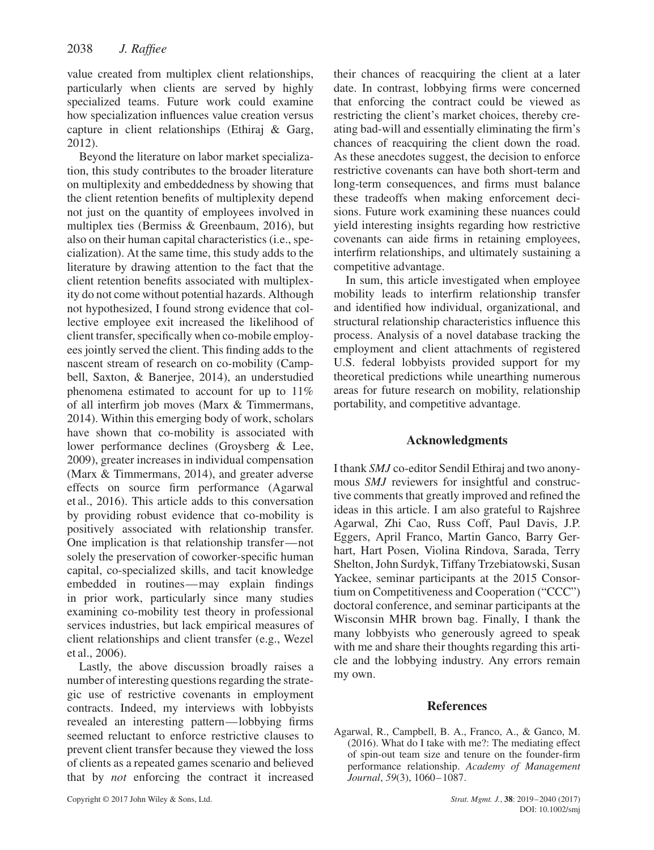value created from multiplex client relationships, particularly when clients are served by highly specialized teams. Future work could examine how specialization influences value creation versus capture in client relationships (Ethiraj & Garg, 2012).

Beyond the literature on labor market specialization, this study contributes to the broader literature on multiplexity and embeddedness by showing that the client retention benefits of multiplexity depend not just on the quantity of employees involved in multiplex ties (Bermiss & Greenbaum, 2016), but also on their human capital characteristics (i.e., specialization). At the same time, this study adds to the literature by drawing attention to the fact that the client retention benefits associated with multiplexity do not come without potential hazards. Although not hypothesized, I found strong evidence that collective employee exit increased the likelihood of client transfer, specifically when co-mobile employees jointly served the client. This finding adds to the nascent stream of research on co-mobility (Campbell, Saxton, & Banerjee, 2014), an understudied phenomena estimated to account for up to 11% of all interfirm job moves (Marx & Timmermans, 2014). Within this emerging body of work, scholars have shown that co-mobility is associated with lower performance declines (Groysberg & Lee, 2009), greater increases in individual compensation (Marx & Timmermans, 2014), and greater adverse effects on source firm performance (Agarwal et al., 2016). This article adds to this conversation by providing robust evidence that co-mobility is positively associated with relationship transfer. One implication is that relationship transfer—not solely the preservation of coworker-specific human capital, co-specialized skills, and tacit knowledge embedded in routines—may explain findings in prior work, particularly since many studies examining co-mobility test theory in professional services industries, but lack empirical measures of client relationships and client transfer (e.g., Wezel et al., 2006).

Lastly, the above discussion broadly raises a number of interesting questions regarding the strategic use of restrictive covenants in employment contracts. Indeed, my interviews with lobbyists revealed an interesting pattern—lobbying firms seemed reluctant to enforce restrictive clauses to prevent client transfer because they viewed the loss of clients as a repeated games scenario and believed that by *not* enforcing the contract it increased their chances of reacquiring the client at a later date. In contrast, lobbying firms were concerned that enforcing the contract could be viewed as restricting the client's market choices, thereby creating bad-will and essentially eliminating the firm's chances of reacquiring the client down the road. As these anecdotes suggest, the decision to enforce restrictive covenants can have both short-term and long-term consequences, and firms must balance these tradeoffs when making enforcement decisions. Future work examining these nuances could yield interesting insights regarding how restrictive covenants can aide firms in retaining employees, interfirm relationships, and ultimately sustaining a competitive advantage.

In sum, this article investigated when employee mobility leads to interfirm relationship transfer and identified how individual, organizational, and structural relationship characteristics influence this process. Analysis of a novel database tracking the employment and client attachments of registered U.S. federal lobbyists provided support for my theoretical predictions while unearthing numerous areas for future research on mobility, relationship portability, and competitive advantage.

#### **Acknowledgments**

I thank *SMJ* co-editor Sendil Ethiraj and two anonymous *SMJ* reviewers for insightful and constructive comments that greatly improved and refined the ideas in this article. I am also grateful to Rajshree Agarwal, Zhi Cao, Russ Coff, Paul Davis, J.P. Eggers, April Franco, Martin Ganco, Barry Gerhart, Hart Posen, Violina Rindova, Sarada, Terry Shelton, John Surdyk, Tiffany Trzebiatowski, Susan Yackee, seminar participants at the 2015 Consortium on Competitiveness and Cooperation ("CCC") doctoral conference, and seminar participants at the Wisconsin MHR brown bag. Finally, I thank the many lobbyists who generously agreed to speak with me and share their thoughts regarding this article and the lobbying industry. Any errors remain my own.

## **References**

Agarwal, R., Campbell, B. A., Franco, A., & Ganco, M. (2016). What do I take with me?: The mediating effect of spin-out team size and tenure on the founder-firm performance relationship. *Academy of Management Journal*, *59*(3), 1060–1087.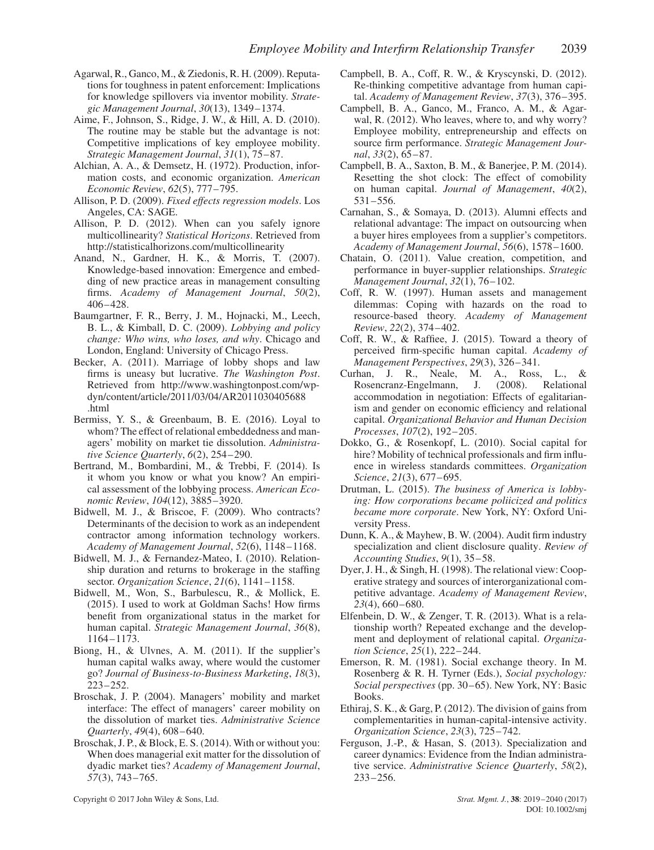- Agarwal, R., Ganco, M., & Ziedonis, R. H. (2009). Reputations for toughness in patent enforcement: Implications for knowledge spillovers via inventor mobility. *Strategic Management Journal*, *30*(13), 1349–1374.
- Aime, F., Johnson, S., Ridge, J. W., & Hill, A. D. (2010). The routine may be stable but the advantage is not: Competitive implications of key employee mobility. *Strategic Management Journal*, *31*(1), 75–87.
- Alchian, A. A., & Demsetz, H. (1972). Production, information costs, and economic organization. *American Economic Review*, *62*(5), 777–795.
- Allison, P. D. (2009). *Fixed effects regression models*. Los Angeles, CA: SAGE.
- Allison, P. D. (2012). When can you safely ignore multicollinearity? *Statistical Horizons*. Retrieved from [http://statisticalhorizons.com/multicollinearity](http://statisticalhorizons.com/multicollinearity:)
- Anand, N., Gardner, H. K., & Morris, T. (2007). Knowledge-based innovation: Emergence and embedding of new practice areas in management consulting firms. *Academy of Management Journal*, *50*(2), 406–428.
- Baumgartner, F. R., Berry, J. M., Hojnacki, M., Leech, B. L., & Kimball, D. C. (2009). *Lobbying and policy change: Who wins, who loses, and why*. Chicago and London, England: University of Chicago Press.
- Becker, A. (2011). Marriage of lobby shops and law firms is uneasy but lucrative. *The Washington Post*. Retrieved from [http://www.washingtonpost.com/wp](http://www.washingtonpost.com/wp-dyn/content/article/2011/03/04/AR2011030405688.html:)[dyn/content/article/2011/03/04/AR2011030405688](http://www.washingtonpost.com/wp-dyn/content/article/2011/03/04/AR2011030405688.html:) [.html](http://www.washingtonpost.com/wp-dyn/content/article/2011/03/04/AR2011030405688.html:)
- Bermiss, Y. S., & Greenbaum, B. E. (2016). Loyal to whom? The effect of relational embeddedness and managers' mobility on market tie dissolution. *Administrative Science Quarterly*, *6*(2), 254–290.
- Bertrand, M., Bombardini, M., & Trebbi, F. (2014). Is it whom you know or what you know? An empirical assessment of the lobbying process. *American Economic Review*, *104*(12), 3885–3920.
- Bidwell, M. J., & Briscoe, F. (2009). Who contracts? Determinants of the decision to work as an independent contractor among information technology workers. *Academy of Management Journal*, *52*(6), 1148–1168.
- Bidwell, M. J., & Fernandez-Mateo, I. (2010). Relationship duration and returns to brokerage in the staffing sector. *Organization Science*, *21*(6), 1141–1158.
- Bidwell, M., Won, S., Barbulescu, R., & Mollick, E. (2015). I used to work at Goldman Sachs! How firms benefit from organizational status in the market for human capital. *Strategic Management Journal*, *36*(8), 1164–1173.
- Biong, H., & Ulvnes, A. M. (2011). If the supplier's human capital walks away, where would the customer go? *Journal of Business-to-Business Marketing*, *18*(3), 223–252.
- Broschak, J. P. (2004). Managers' mobility and market interface: The effect of managers' career mobility on the dissolution of market ties. *Administrative Science Quarterly*, *49*(4), 608–640.
- Broschak, J. P., & Block, E. S. (2014). With or without you: When does managerial exit matter for the dissolution of dyadic market ties? *Academy of Management Journal*, *57*(3), 743–765.
- Campbell, B. A., Coff, R. W., & Kryscynski, D. (2012). Re-thinking competitive advantage from human capital. *Academy of Management Review*, *37*(3), 376–395.
- Campbell, B. A., Ganco, M., Franco, A. M., & Agarwal, R. (2012). Who leaves, where to, and why worry? Employee mobility, entrepreneurship and effects on source firm performance. *Strategic Management Journal*, *33*(2), 65–87.
- Campbell, B. A., Saxton, B. M., & Banerjee, P. M. (2014). Resetting the shot clock: The effect of comobility on human capital. *Journal of Management*, *40*(2), 531–556.
- Carnahan, S., & Somaya, D. (2013). Alumni effects and relational advantage: The impact on outsourcing when a buyer hires employees from a supplier's competitors. *Academy of Management Journal*, *56*(6), 1578–1600.
- Chatain, O. (2011). Value creation, competition, and performance in buyer-supplier relationships. *Strategic Management Journal*, *32*(1), 76–102.
- Coff, R. W. (1997). Human assets and management dilemmas: Coping with hazards on the road to resource-based theory. *Academy of Management Review*, *22*(2), 374–402.
- Coff, R. W., & Raffiee, J. (2015). Toward a theory of perceived firm-specific human capital. *Academy of Management Perspectives*, *29*(3), 326–341.
- Curhan, J. R., Neale, M. A., Ross, L., & Rosencranz-Engelmann, accommodation in negotiation: Effects of egalitarianism and gender on economic efficiency and relational capital. *Organizational Behavior and Human Decision Processes*, *107*(2), 192–205.
- Dokko, G., & Rosenkopf, L. (2010). Social capital for hire? Mobility of technical professionals and firm influence in wireless standards committees. *Organization Science*, *21*(3), 677–695.
- Drutman, L. (2015). *The business of America is lobbying: How corporations became poliicized and politics became more corporate*. New York, NY: Oxford University Press.
- Dunn, K. A., & Mayhew, B. W. (2004). Audit firm industry specialization and client disclosure quality. *Review of Accounting Studies*, *9*(1), 35–58.
- Dyer, J. H., & Singh, H. (1998). The relational view: Cooperative strategy and sources of interorganizational competitive advantage. *Academy of Management Review*, *23*(4), 660–680.
- Elfenbein, D. W., & Zenger, T. R. (2013). What is a relationship worth? Repeated exchange and the development and deployment of relational capital. *Organization Science*, *25*(1), 222–244.
- Emerson, R. M. (1981). Social exchange theory. In M. Rosenberg & R. H. Tyrner (Eds.), *Social psychology: Social perspectives* (pp. 30–65). New York, NY: Basic Books.
- Ethiraj, S. K., & Garg, P. (2012). The division of gains from complementarities in human-capital-intensive activity. *Organization Science*, *23*(3), 725–742.
- Ferguson, J.-P., & Hasan, S. (2013). Specialization and career dynamics: Evidence from the Indian administrative service. *Administrative Science Quarterly*, *58*(2), 233–256.